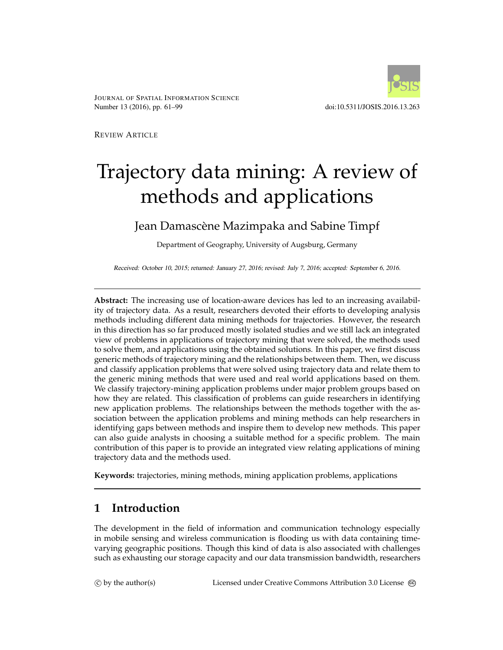

JOURNAL OF SPATIAL INFORMATION SCIENCE Number 13 (2016), pp. 61–99 doi:10.5311/JOSIS.2016.13.263

REVIEW ARTICLE

# Trajectory data mining: A review of methods and applications

# Jean Damascène Mazimpaka and Sabine Timpf

Department of Geography, University of Augsburg, Germany

Received: October 10, 2015; returned: January 27, 2016; revised: July 7, 2016; accepted: September 6, 2016.

**Abstract:** The increasing use of location-aware devices has led to an increasing availability of trajectory data. As a result, researchers devoted their efforts to developing analysis methods including different data mining methods for trajectories. However, the research in this direction has so far produced mostly isolated studies and we still lack an integrated view of problems in applications of trajectory mining that were solved, the methods used to solve them, and applications using the obtained solutions. In this paper, we first discuss generic methods of trajectory mining and the relationships between them. Then, we discuss and classify application problems that were solved using trajectory data and relate them to the generic mining methods that were used and real world applications based on them. We classify trajectory-mining application problems under major problem groups based on how they are related. This classification of problems can guide researchers in identifying new application problems. The relationships between the methods together with the association between the application problems and mining methods can help researchers in identifying gaps between methods and inspire them to develop new methods. This paper can also guide analysts in choosing a suitable method for a specific problem. The main contribution of this paper is to provide an integrated view relating applications of mining trajectory data and the methods used.

**Keywords:** trajectories, mining methods, mining application problems, applications

# **1 Introduction**

The development in the field of information and communication technology especially in mobile sensing and wireless communication is flooding us with data containing timevarying geographic positions. Though this kind of data is also associated with challenges such as exhausting our storage capacity and our data transmission bandwidth, researchers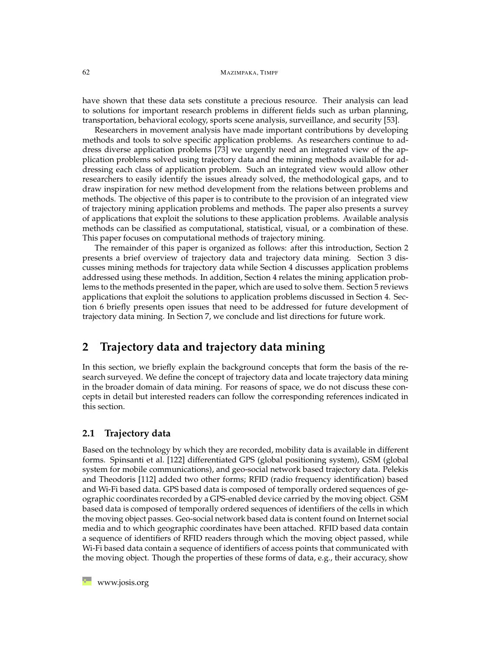#### 62 MAZIMPAKA, TIMPF

have shown that these data sets constitute a precious resource. Their analysis can lead to solutions for important research problems in different fields such as urban planning, transportation, behavioral ecology, sports scene analysis, surveillance, and security [\[53\]](#page-30-0).

Researchers in movement analysis have made important contributions by developing methods and tools to solve specific application problems. As researchers continue to address diverse application problems [\[73\]](#page-31-0) we urgently need an integrated view of the application problems solved using trajectory data and the mining methods available for addressing each class of application problem. Such an integrated view would allow other researchers to easily identify the issues already solved, the methodological gaps, and to draw inspiration for new method development from the relations between problems and methods. The objective of this paper is to contribute to the provision of an integrated view of trajectory mining application problems and methods. The paper also presents a survey of applications that exploit the solutions to these application problems. Available analysis methods can be classified as computational, statistical, visual, or a combination of these. This paper focuses on computational methods of trajectory mining.

The remainder of this paper is organized as follows: after this introduction, Section [2](#page-1-0) presents a brief overview of trajectory data and trajectory data mining. Section [3](#page-4-0) discusses mining methods for trajectory data while Section [4](#page-12-0) discusses application problems addressed using these methods. In addition, Section [4](#page-12-0) relates the mining application problems to the methods presented in the paper, which are used to solve them. Section [5](#page-19-0) reviews applications that exploit the solutions to application problems discussed in Section [4.](#page-12-0) Section [6](#page-23-0) briefly presents open issues that need to be addressed for future development of trajectory data mining. In Section [7,](#page-24-0) we conclude and list directions for future work.

# <span id="page-1-0"></span>**2 Trajectory data and trajectory data mining**

In this section, we briefly explain the background concepts that form the basis of the research surveyed. We define the concept of trajectory data and locate trajectory data mining in the broader domain of data mining. For reasons of space, we do not discuss these concepts in detail but interested readers can follow the corresponding references indicated in this section.

## **2.1 Trajectory data**

Based on the technology by which they are recorded, mobility data is available in different forms. Spinsanti et al. [\[122\]](#page-35-0) differentiated GPS (global positioning system), GSM (global system for mobile communications), and geo-social network based trajectory data. Pelekis and Theodoris [\[112\]](#page-34-0) added two other forms; RFID (radio frequency identification) based and Wi-Fi based data. GPS based data is composed of temporally ordered sequences of geographic coordinates recorded by a GPS-enabled device carried by the moving object. GSM based data is composed of temporally ordered sequences of identifiers of the cells in which the moving object passes. Geo-social network based data is content found on Internet social media and to which geographic coordinates have been attached. RFID based data contain a sequence of identifiers of RFID readers through which the moving object passed, while Wi-Fi based data contain a sequence of identifiers of access points that communicated with the moving object. Though the properties of these forms of data, e.g., their accuracy, show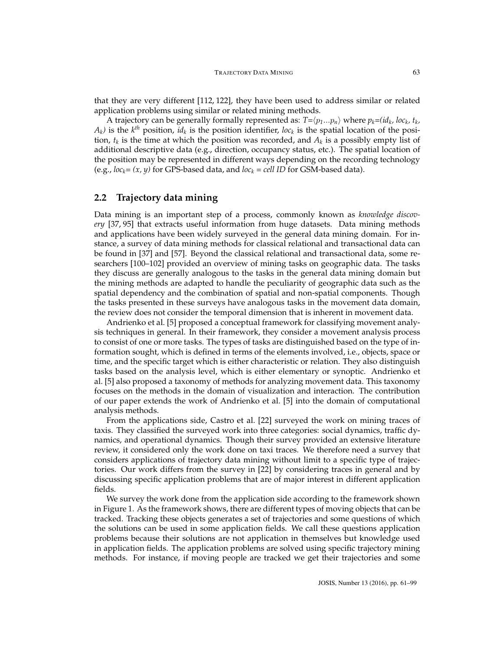that they are very different [\[112,](#page-34-0) [122\]](#page-35-0), they have been used to address similar or related application problems using similar or related mining methods.

A trajectory can be generally formally represented as:  $T = \langle p_1...p_n \rangle$  where  $p_k = (id_k, loc_k, t_k,$  $A_k$ ) is the  $k^{th}$  position, *id<sub>k</sub>* is the position identifier, *loc<sub>k</sub>* is the spatial location of the position,  $t_k$  is the time at which the position was recorded, and  $A_k$  is a possibly empty list of additional descriptive data (e.g., direction, occupancy status, etc.). The spatial location of the position may be represented in different ways depending on the recording technology (e.g.,  $loc_k = (x, y)$  for GPS-based data, and  $loc_k = cell$  *ID* for GSM-based data).

## **2.2 Trajectory data mining**

Data mining is an important step of a process, commonly known as *knowledge discovery* [\[37,](#page-28-0) [95\]](#page-33-0) that extracts useful information from huge datasets. Data mining methods and applications have been widely surveyed in the general data mining domain. For instance, a survey of data mining methods for classical relational and transactional data can be found in [\[37\]](#page-28-0) and [\[57\]](#page-30-1). Beyond the classical relational and transactional data, some researchers [\[100–](#page-33-1)[102\]](#page-34-1) provided an overview of mining tasks on geographic data. The tasks they discuss are generally analogous to the tasks in the general data mining domain but the mining methods are adapted to handle the peculiarity of geographic data such as the spatial dependency and the combination of spatial and non-spatial components. Though the tasks presented in these surveys have analogous tasks in the movement data domain, the review does not consider the temporal dimension that is inherent in movement data.

Andrienko et al. [\[5\]](#page-25-0) proposed a conceptual framework for classifying movement analysis techniques in general. In their framework, they consider a movement analysis process to consist of one or more tasks. The types of tasks are distinguished based on the type of information sought, which is defined in terms of the elements involved, i.e., objects, space or time, and the specific target which is either characteristic or relation. They also distinguish tasks based on the analysis level, which is either elementary or synoptic. Andrienko et al. [\[5\]](#page-25-0) also proposed a taxonomy of methods for analyzing movement data. This taxonomy focuses on the methods in the domain of visualization and interaction. The contribution of our paper extends the work of Andrienko et al. [\[5\]](#page-25-0) into the domain of computational analysis methods.

From the applications side, Castro et al. [\[22\]](#page-27-0) surveyed the work on mining traces of taxis. They classified the surveyed work into three categories: social dynamics, traffic dynamics, and operational dynamics. Though their survey provided an extensive literature review, it considered only the work done on taxi traces. We therefore need a survey that considers applications of trajectory data mining without limit to a specific type of trajectories. Our work differs from the survey in [\[22\]](#page-27-0) by considering traces in general and by discussing specific application problems that are of major interest in different application fields.

We survey the work done from the application side according to the framework shown in Figure [1.](#page-3-0) As the framework shows, there are different types of moving objects that can be tracked. Tracking these objects generates a set of trajectories and some questions of which the solutions can be used in some application fields. We call these questions application problems because their solutions are not application in themselves but knowledge used in application fields. The application problems are solved using specific trajectory mining methods. For instance, if moving people are tracked we get their trajectories and some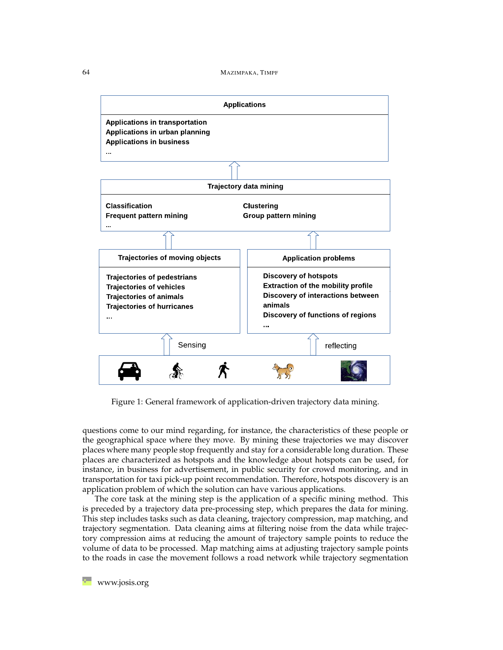

<span id="page-3-0"></span>Figure 1: General framework of application-driven trajectory data mining.

questions come to our mind regarding, for instance, the characteristics of these people or the geographical space where they move. By mining these trajectories we may discover places where many people stop frequently and stay for a considerable long duration. These places are characterized as hotspots and the knowledge about hotspots can be used, for instance, in business for advertisement, in public security for crowd monitoring, and in transportation for taxi pick-up point recommendation. Therefore, hotspots discovery is an application problem of which the solution can have various applications.

The core task at the mining step is the application of a specific mining method. This is preceded by a trajectory data pre-processing step, which prepares the data for mining. This step includes tasks such as data cleaning, trajectory compression, map matching, and trajectory segmentation. Data cleaning aims at filtering noise from the data while trajectory compression aims at reducing the amount of trajectory sample points to reduce the volume of data to be processed. Map matching aims at adjusting trajectory sample points to the roads in case the movement follows a road network while trajectory segmentation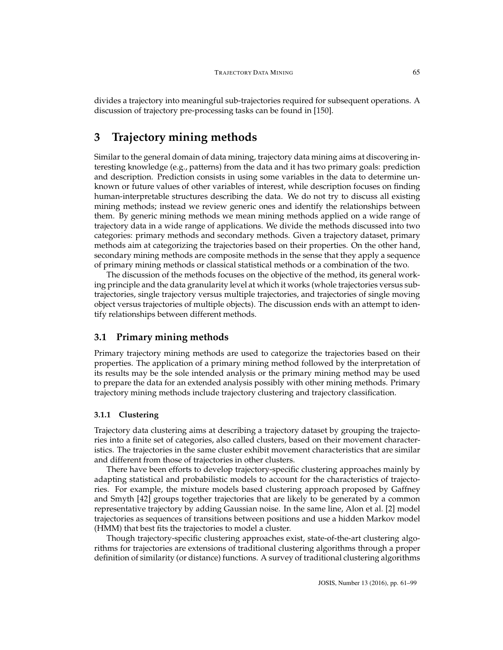divides a trajectory into meaningful sub-trajectories required for subsequent operations. A discussion of trajectory pre-processing tasks can be found in [\[150\]](#page-38-0).

# <span id="page-4-0"></span>**3 Trajectory mining methods**

Similar to the general domain of data mining, trajectory data mining aims at discovering interesting knowledge (e.g., patterns) from the data and it has two primary goals: prediction and description. Prediction consists in using some variables in the data to determine unknown or future values of other variables of interest, while description focuses on finding human-interpretable structures describing the data. We do not try to discuss all existing mining methods; instead we review generic ones and identify the relationships between them. By generic mining methods we mean mining methods applied on a wide range of trajectory data in a wide range of applications. We divide the methods discussed into two categories: primary methods and secondary methods. Given a trajectory dataset, primary methods aim at categorizing the trajectories based on their properties. On the other hand, secondary mining methods are composite methods in the sense that they apply a sequence of primary mining methods or classical statistical methods or a combination of the two.

The discussion of the methods focuses on the objective of the method, its general working principle and the data granularity level at which it works (whole trajectories versus subtrajectories, single trajectory versus multiple trajectories, and trajectories of single moving object versus trajectories of multiple objects). The discussion ends with an attempt to identify relationships between different methods.

#### **3.1 Primary mining methods**

Primary trajectory mining methods are used to categorize the trajectories based on their properties. The application of a primary mining method followed by the interpretation of its results may be the sole intended analysis or the primary mining method may be used to prepare the data for an extended analysis possibly with other mining methods. Primary trajectory mining methods include trajectory clustering and trajectory classification.

#### **3.1.1 Clustering**

Trajectory data clustering aims at describing a trajectory dataset by grouping the trajectories into a finite set of categories, also called clusters, based on their movement characteristics. The trajectories in the same cluster exhibit movement characteristics that are similar and different from those of trajectories in other clusters.

There have been efforts to develop trajectory-specific clustering approaches mainly by adapting statistical and probabilistic models to account for the characteristics of trajectories. For example, the mixture models based clustering approach proposed by Gaffney and Smyth [\[42\]](#page-29-0) groups together trajectories that are likely to be generated by a common representative trajectory by adding Gaussian noise. In the same line, Alon et al. [\[2\]](#page-25-1) model trajectories as sequences of transitions between positions and use a hidden Markov model (HMM) that best fits the trajectories to model a cluster.

Though trajectory-specific clustering approaches exist, state-of-the-art clustering algorithms for trajectories are extensions of traditional clustering algorithms through a proper definition of similarity (or distance) functions. A survey of traditional clustering algorithms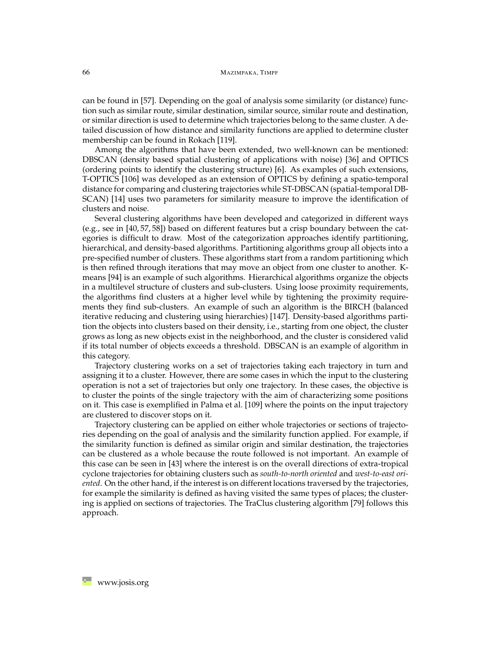can be found in [\[57\]](#page-30-1). Depending on the goal of analysis some similarity (or distance) function such as similar route, similar destination, similar source, similar route and destination, or similar direction is used to determine which trajectories belong to the same cluster. A detailed discussion of how distance and similarity functions are applied to determine cluster membership can be found in Rokach [\[119\]](#page-35-1).

Among the algorithms that have been extended, two well-known can be mentioned: DBSCAN (density based spatial clustering of applications with noise) [\[36\]](#page-28-1) and OPTICS (ordering points to identify the clustering structure) [\[6\]](#page-26-0). As examples of such extensions, T-OPTICS [\[106\]](#page-34-2) was developed as an extension of OPTICS by defining a spatio-temporal distance for comparing and clustering trajectories while ST-DBSCAN (spatial-temporal DB-SCAN) [\[14\]](#page-26-1) uses two parameters for similarity measure to improve the identification of clusters and noise.

Several clustering algorithms have been developed and categorized in different ways (e.g., see in [\[40,](#page-28-2) [57,](#page-30-1) [58\]](#page-30-2)) based on different features but a crisp boundary between the categories is difficult to draw. Most of the categorization approaches identify partitioning, hierarchical, and density-based algorithms. Partitioning algorithms group all objects into a pre-specified number of clusters. These algorithms start from a random partitioning which is then refined through iterations that may move an object from one cluster to another. Kmeans [\[94\]](#page-33-2) is an example of such algorithms. Hierarchical algorithms organize the objects in a multilevel structure of clusters and sub-clusters. Using loose proximity requirements, the algorithms find clusters at a higher level while by tightening the proximity requirements they find sub-clusters. An example of such an algorithm is the BIRCH (balanced iterative reducing and clustering using hierarchies) [\[147\]](#page-38-1). Density-based algorithms partition the objects into clusters based on their density, i.e., starting from one object, the cluster grows as long as new objects exist in the neighborhood, and the cluster is considered valid if its total number of objects exceeds a threshold. DBSCAN is an example of algorithm in this category.

Trajectory clustering works on a set of trajectories taking each trajectory in turn and assigning it to a cluster. However, there are some cases in which the input to the clustering operation is not a set of trajectories but only one trajectory. In these cases, the objective is to cluster the points of the single trajectory with the aim of characterizing some positions on it. This case is exemplified in Palma et al. [\[109\]](#page-34-3) where the points on the input trajectory are clustered to discover stops on it.

Trajectory clustering can be applied on either whole trajectories or sections of trajectories depending on the goal of analysis and the similarity function applied. For example, if the similarity function is defined as similar origin and similar destination, the trajectories can be clustered as a whole because the route followed is not important. An example of this case can be seen in [\[43\]](#page-29-1) where the interest is on the overall directions of extra-tropical cyclone trajectories for obtaining clusters such as *south-to-north oriented* and *west-to-east oriented*. On the other hand, if the interest is on different locations traversed by the trajectories, for example the similarity is defined as having visited the same types of places; the clustering is applied on sections of trajectories. The TraClus clustering algorithm [\[79\]](#page-32-0) follows this approach.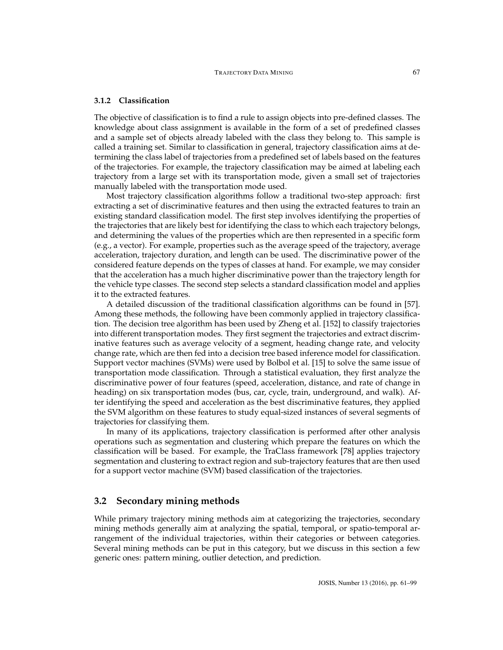#### **3.1.2 Classification**

The objective of classification is to find a rule to assign objects into pre-defined classes. The knowledge about class assignment is available in the form of a set of predefined classes and a sample set of objects already labeled with the class they belong to. This sample is called a training set. Similar to classification in general, trajectory classification aims at determining the class label of trajectories from a predefined set of labels based on the features of the trajectories. For example, the trajectory classification may be aimed at labeling each trajectory from a large set with its transportation mode, given a small set of trajectories manually labeled with the transportation mode used.

Most trajectory classification algorithms follow a traditional two-step approach: first extracting a set of discriminative features and then using the extracted features to train an existing standard classification model. The first step involves identifying the properties of the trajectories that are likely best for identifying the class to which each trajectory belongs, and determining the values of the properties which are then represented in a specific form (e.g., a vector). For example, properties such as the average speed of the trajectory, average acceleration, trajectory duration, and length can be used. The discriminative power of the considered feature depends on the types of classes at hand. For example, we may consider that the acceleration has a much higher discriminative power than the trajectory length for the vehicle type classes. The second step selects a standard classification model and applies it to the extracted features.

A detailed discussion of the traditional classification algorithms can be found in [\[57\]](#page-30-1). Among these methods, the following have been commonly applied in trajectory classification. The decision tree algorithm has been used by Zheng et al. [\[152\]](#page-38-2) to classify trajectories into different transportation modes. They first segment the trajectories and extract discriminative features such as average velocity of a segment, heading change rate, and velocity change rate, which are then fed into a decision tree based inference model for classification. Support vector machines (SVMs) were used by Bolbol et al. [\[15\]](#page-26-2) to solve the same issue of transportation mode classification. Through a statistical evaluation, they first analyze the discriminative power of four features (speed, acceleration, distance, and rate of change in heading) on six transportation modes (bus, car, cycle, train, underground, and walk). After identifying the speed and acceleration as the best discriminative features, they applied the SVM algorithm on these features to study equal-sized instances of several segments of trajectories for classifying them.

In many of its applications, trajectory classification is performed after other analysis operations such as segmentation and clustering which prepare the features on which the classification will be based. For example, the TraClass framework [\[78\]](#page-31-1) applies trajectory segmentation and clustering to extract region and sub-trajectory features that are then used for a support vector machine (SVM) based classification of the trajectories.

## **3.2 Secondary mining methods**

While primary trajectory mining methods aim at categorizing the trajectories, secondary mining methods generally aim at analyzing the spatial, temporal, or spatio-temporal arrangement of the individual trajectories, within their categories or between categories. Several mining methods can be put in this category, but we discuss in this section a few generic ones: pattern mining, outlier detection, and prediction.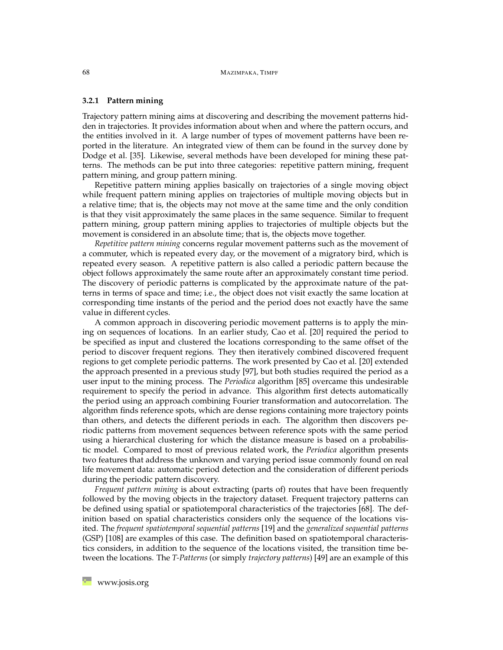#### **3.2.1 Pattern mining**

Trajectory pattern mining aims at discovering and describing the movement patterns hidden in trajectories. It provides information about when and where the pattern occurs, and the entities involved in it. A large number of types of movement patterns have been reported in the literature. An integrated view of them can be found in the survey done by Dodge et al. [\[35\]](#page-28-3). Likewise, several methods have been developed for mining these patterns. The methods can be put into three categories: repetitive pattern mining, frequent pattern mining, and group pattern mining.

Repetitive pattern mining applies basically on trajectories of a single moving object while frequent pattern mining applies on trajectories of multiple moving objects but in a relative time; that is, the objects may not move at the same time and the only condition is that they visit approximately the same places in the same sequence. Similar to frequent pattern mining, group pattern mining applies to trajectories of multiple objects but the movement is considered in an absolute time; that is, the objects move together.

*Repetitive pattern mining* concerns regular movement patterns such as the movement of a commuter, which is repeated every day, or the movement of a migratory bird, which is repeated every season. A repetitive pattern is also called a periodic pattern because the object follows approximately the same route after an approximately constant time period. The discovery of periodic patterns is complicated by the approximate nature of the patterns in terms of space and time; i.e., the object does not visit exactly the same location at corresponding time instants of the period and the period does not exactly have the same value in different cycles.

A common approach in discovering periodic movement patterns is to apply the mining on sequences of locations. In an earlier study, Cao et al. [\[20\]](#page-27-1) required the period to be specified as input and clustered the locations corresponding to the same offset of the period to discover frequent regions. They then iteratively combined discovered frequent regions to get complete periodic patterns. The work presented by Cao et al. [\[20\]](#page-27-1) extended the approach presented in a previous study [\[97\]](#page-33-3), but both studies required the period as a user input to the mining process. The *Periodica* algorithm [\[85\]](#page-32-1) overcame this undesirable requirement to specify the period in advance. This algorithm first detects automatically the period using an approach combining Fourier transformation and autocorrelation. The algorithm finds reference spots, which are dense regions containing more trajectory points than others, and detects the different periods in each. The algorithm then discovers periodic patterns from movement sequences between reference spots with the same period using a hierarchical clustering for which the distance measure is based on a probabilistic model. Compared to most of previous related work, the *Periodica* algorithm presents two features that address the unknown and varying period issue commonly found on real life movement data: automatic period detection and the consideration of different periods during the periodic pattern discovery.

*Frequent pattern mining* is about extracting (parts of) routes that have been frequently followed by the moving objects in the trajectory dataset. Frequent trajectory patterns can be defined using spatial or spatiotemporal characteristics of the trajectories [\[68\]](#page-31-2). The definition based on spatial characteristics considers only the sequence of the locations visited. The *frequent spatiotemporal sequential patterns* [\[19\]](#page-27-2) and the *generalized sequential patterns* (GSP) [\[108\]](#page-34-4) are examples of this case. The definition based on spatiotemporal characteristics considers, in addition to the sequence of the locations visited, the transition time between the locations. The *T-Patterns* (or simply *trajectory patterns*) [\[49\]](#page-29-2) are an example of this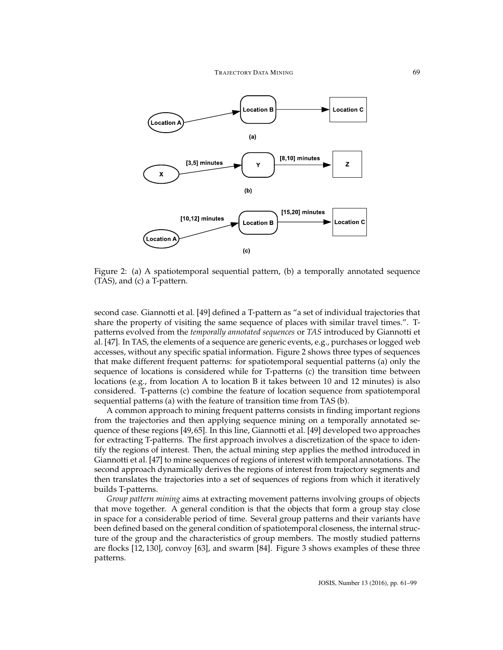

<span id="page-8-0"></span>Figure 2: (a) A spatiotemporal sequential pattern, (b) a temporally annotated sequence (TAS), and (c) a T-pattern.

second case. Giannotti et al. [\[49\]](#page-29-2) defined a T-pattern as "a set of individual trajectories that share the property of visiting the same sequence of places with similar travel times.". Tpatterns evolved from the *temporally annotated sequences* or *TAS* introduced by Giannotti et al. [\[47\]](#page-29-3). In TAS, the elements of a sequence are generic events, e.g., purchases or logged web accesses, without any specific spatial information. Figure [2](#page-8-0) shows three types of sequences that make different frequent patterns: for spatiotemporal sequential patterns (a) only the sequence of locations is considered while for T-patterns (c) the transition time between locations (e.g., from location A to location B it takes between 10 and 12 minutes) is also considered. T-patterns (c) combine the feature of location sequence from spatiotemporal sequential patterns (a) with the feature of transition time from TAS (b).

A common approach to mining frequent patterns consists in finding important regions from the trajectories and then applying sequence mining on a temporally annotated sequence of these regions [\[49,](#page-29-2) [65\]](#page-31-3). In this line, Giannotti et al. [\[49\]](#page-29-2) developed two approaches for extracting T-patterns. The first approach involves a discretization of the space to identify the regions of interest. Then, the actual mining step applies the method introduced in Giannotti et al. [\[47\]](#page-29-3) to mine sequences of regions of interest with temporal annotations. The second approach dynamically derives the regions of interest from trajectory segments and then translates the trajectories into a set of sequences of regions from which it iteratively builds T-patterns.

*Group pattern mining* aims at extracting movement patterns involving groups of objects that move together. A general condition is that the objects that form a group stay close in space for a considerable period of time. Several group patterns and their variants have been defined based on the general condition of spatiotemporal closeness, the internal structure of the group and the characteristics of group members. The mostly studied patterns are flocks [\[12,](#page-26-3) [130\]](#page-36-0), convoy [\[63\]](#page-30-3), and swarm [\[84\]](#page-32-2). Figure [3](#page-9-0) shows examples of these three patterns.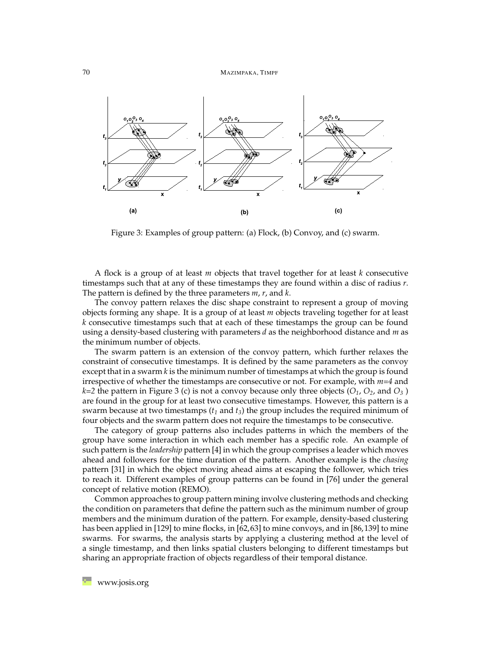

<span id="page-9-0"></span>Figure 3: Examples of group pattern: (a) Flock, (b) Convoy, and (c) swarm.

A flock is a group of at least *m* objects that travel together for at least *k* consecutive timestamps such that at any of these timestamps they are found within a disc of radius *r*. The pattern is defined by the three parameters *m*, *r*, and *k*.

The convoy pattern relaxes the disc shape constraint to represent a group of moving objects forming any shape. It is a group of at least *m* objects traveling together for at least *k* consecutive timestamps such that at each of these timestamps the group can be found using a density-based clustering with parameters *d* as the neighborhood distance and *m* as the minimum number of objects.

The swarm pattern is an extension of the convoy pattern, which further relaxes the constraint of consecutive timestamps. It is defined by the same parameters as the convoy except that in a swarm *k* is the minimum number of timestamps at which the group is found irrespective of whether the timestamps are consecutive or not. For example, with *m=4* and  $k=2$  the pattern in Figure [3](#page-9-0) (c) is not a convoy because only three objects ( $O_1$ ,  $O_2$ , and  $O_3$ ) are found in the group for at least two consecutive timestamps. However, this pattern is a swarm because at two timestamps  $(t_1 \text{ and } t_3)$  the group includes the required minimum of four objects and the swarm pattern does not require the timestamps to be consecutive.

The category of group patterns also includes patterns in which the members of the group have some interaction in which each member has a specific role. An example of such pattern is the *leadership* pattern [\[4\]](#page-25-2) in which the group comprises a leader which moves ahead and followers for the time duration of the pattern. Another example is the *chasing* pattern [\[31\]](#page-28-4) in which the object moving ahead aims at escaping the follower, which tries to reach it. Different examples of group patterns can be found in [\[76\]](#page-31-4) under the general concept of relative motion (REMO).

Common approaches to group pattern mining involve clustering methods and checking the condition on parameters that define the pattern such as the minimum number of group members and the minimum duration of the pattern. For example, density-based clustering has been applied in [\[129\]](#page-36-1) to mine flocks, in [\[62,](#page-30-4)[63\]](#page-30-3) to mine convoys, and in [\[86,](#page-32-3)[139\]](#page-37-0) to mine swarms. For swarms, the analysis starts by applying a clustering method at the level of a single timestamp, and then links spatial clusters belonging to different timestamps but sharing an appropriate fraction of objects regardless of their temporal distance.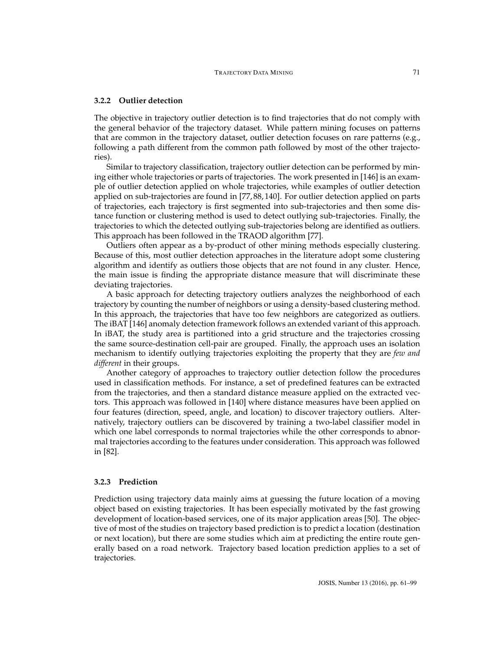#### **3.2.2 Outlier detection**

The objective in trajectory outlier detection is to find trajectories that do not comply with the general behavior of the trajectory dataset. While pattern mining focuses on patterns that are common in the trajectory dataset, outlier detection focuses on rare patterns (e.g., following a path different from the common path followed by most of the other trajectories).

Similar to trajectory classification, trajectory outlier detection can be performed by mining either whole trajectories or parts of trajectories. The work presented in [\[146\]](#page-37-1) is an example of outlier detection applied on whole trajectories, while examples of outlier detection applied on sub-trajectories are found in [\[77,](#page-31-5) [88,](#page-32-4) [140\]](#page-37-2). For outlier detection applied on parts of trajectories, each trajectory is first segmented into sub-trajectories and then some distance function or clustering method is used to detect outlying sub-trajectories. Finally, the trajectories to which the detected outlying sub-trajectories belong are identified as outliers. This approach has been followed in the TRAOD algorithm [\[77\]](#page-31-5).

Outliers often appear as a by-product of other mining methods especially clustering. Because of this, most outlier detection approaches in the literature adopt some clustering algorithm and identify as outliers those objects that are not found in any cluster. Hence, the main issue is finding the appropriate distance measure that will discriminate these deviating trajectories.

A basic approach for detecting trajectory outliers analyzes the neighborhood of each trajectory by counting the number of neighbors or using a density-based clustering method. In this approach, the trajectories that have too few neighbors are categorized as outliers. The iBAT [\[146\]](#page-37-1) anomaly detection framework follows an extended variant of this approach. In iBAT, the study area is partitioned into a grid structure and the trajectories crossing the same source-destination cell-pair are grouped. Finally, the approach uses an isolation mechanism to identify outlying trajectories exploiting the property that they are *few and different* in their groups.

Another category of approaches to trajectory outlier detection follow the procedures used in classification methods. For instance, a set of predefined features can be extracted from the trajectories, and then a standard distance measure applied on the extracted vectors. This approach was followed in [\[140\]](#page-37-2) where distance measures have been applied on four features (direction, speed, angle, and location) to discover trajectory outliers. Alternatively, trajectory outliers can be discovered by training a two-label classifier model in which one label corresponds to normal trajectories while the other corresponds to abnormal trajectories according to the features under consideration. This approach was followed in [\[82\]](#page-32-5).

#### **3.2.3 Prediction**

Prediction using trajectory data mainly aims at guessing the future location of a moving object based on existing trajectories. It has been especially motivated by the fast growing development of location-based services, one of its major application areas [\[50\]](#page-29-4). The objective of most of the studies on trajectory based prediction is to predict a location (destination or next location), but there are some studies which aim at predicting the entire route generally based on a road network. Trajectory based location prediction applies to a set of trajectories.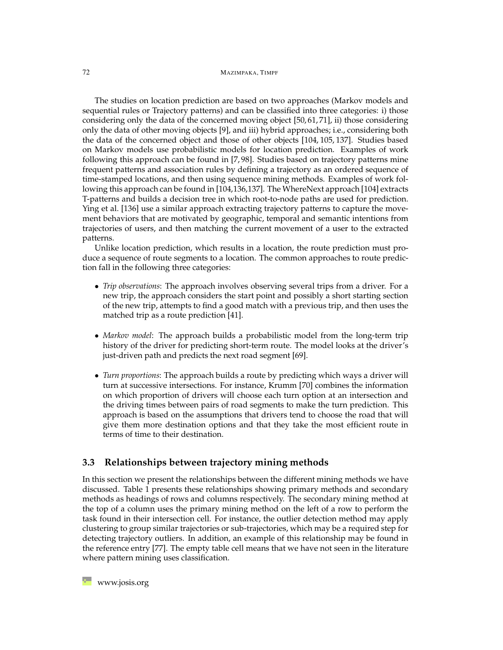#### 72 MAZIMPAKA, TIMPF

The studies on location prediction are based on two approaches (Markov models and sequential rules or Trajectory patterns) and can be classified into three categories: i) those considering only the data of the concerned moving object [\[50,](#page-29-4) [61,](#page-30-5) [71\]](#page-31-6), ii) those considering only the data of other moving objects [\[9\]](#page-26-4), and iii) hybrid approaches; i.e., considering both the data of the concerned object and those of other objects [\[104,](#page-34-5) [105,](#page-34-6) [137\]](#page-37-3). Studies based on Markov models use probabilistic models for location prediction. Examples of work following this approach can be found in [\[7,](#page-26-5) [98\]](#page-33-4). Studies based on trajectory patterns mine frequent patterns and association rules by defining a trajectory as an ordered sequence of time-stamped locations, and then using sequence mining methods. Examples of work fol-lowing this approach can be found in [\[104](#page-34-5)[,136,](#page-37-4)[137\]](#page-37-3). The WhereNext approach [\[104\]](#page-34-5) extracts T-patterns and builds a decision tree in which root-to-node paths are used for prediction. Ying et al. [\[136\]](#page-37-4) use a similar approach extracting trajectory patterns to capture the movement behaviors that are motivated by geographic, temporal and semantic intentions from trajectories of users, and then matching the current movement of a user to the extracted patterns.

Unlike location prediction, which results in a location, the route prediction must produce a sequence of route segments to a location. The common approaches to route prediction fall in the following three categories:

- *Trip observations*: The approach involves observing several trips from a driver. For a new trip, the approach considers the start point and possibly a short starting section of the new trip, attempts to find a good match with a previous trip, and then uses the matched trip as a route prediction [\[41\]](#page-29-5).
- *Markov model*: The approach builds a probabilistic model from the long-term trip history of the driver for predicting short-term route. The model looks at the driver's just-driven path and predicts the next road segment [\[69\]](#page-31-7).
- *Turn proportions*: The approach builds a route by predicting which ways a driver will turn at successive intersections. For instance, Krumm [\[70\]](#page-31-8) combines the information on which proportion of drivers will choose each turn option at an intersection and the driving times between pairs of road segments to make the turn prediction. This approach is based on the assumptions that drivers tend to choose the road that will give them more destination options and that they take the most efficient route in terms of time to their destination.

#### **3.3 Relationships between trajectory mining methods**

In this section we present the relationships between the different mining methods we have discussed. Table [1](#page-12-1) presents these relationships showing primary methods and secondary methods as headings of rows and columns respectively. The secondary mining method at the top of a column uses the primary mining method on the left of a row to perform the task found in their intersection cell. For instance, the outlier detection method may apply clustering to group similar trajectories or sub-trajectories, which may be a required step for detecting trajectory outliers. In addition, an example of this relationship may be found in the reference entry [\[77\]](#page-31-5). The empty table cell means that we have not seen in the literature where pattern mining uses classification.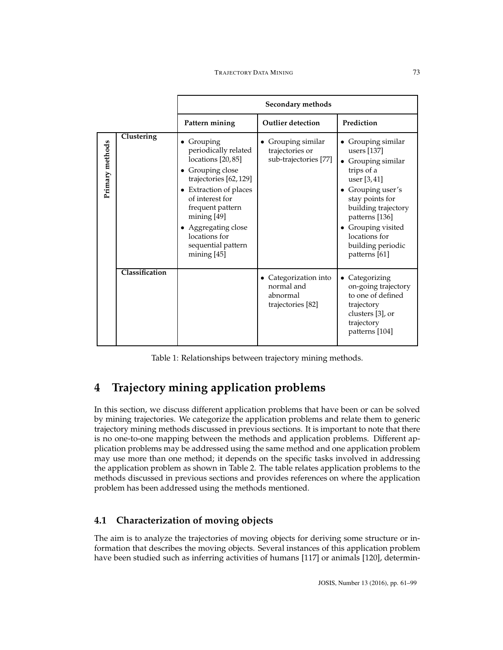|                 |                |                                                                                                                                                                                                                                                                   | Secondary methods                                                  |                                                                                                                                                                                                                                                  |
|-----------------|----------------|-------------------------------------------------------------------------------------------------------------------------------------------------------------------------------------------------------------------------------------------------------------------|--------------------------------------------------------------------|--------------------------------------------------------------------------------------------------------------------------------------------------------------------------------------------------------------------------------------------------|
|                 |                | Pattern mining                                                                                                                                                                                                                                                    | <b>Outlier detection</b>                                           | Prediction                                                                                                                                                                                                                                       |
| Primary methods | Clustering     | • Grouping<br>periodically related<br>locations [20,85]<br>• Grouping close<br>trajectories [62,129]<br>• Extraction of places<br>of interest for<br>frequent pattern<br>mining [49]<br>• Aggregating close<br>locations for<br>sequential pattern<br>mining [45] | • Grouping similar<br>trajectories or<br>sub-trajectories [77]     | Grouping similar<br>users [137]<br>• Grouping similar<br>trips of a<br>user [3,41]<br>• Grouping user's<br>stay points for<br>building trajectory<br>patterns [136]<br>• Grouping visited<br>locations for<br>building periodic<br>patterns [61] |
|                 | Classification |                                                                                                                                                                                                                                                                   | Categorization into<br>normal and<br>abnormal<br>trajectories [82] | Categorizing<br>$\bullet$<br>on-going trajectory<br>to one of defined<br>trajectory<br>clusters [3], or<br>trajectory<br>patterns [104]                                                                                                          |

<span id="page-12-1"></span>Table 1: Relationships between trajectory mining methods.

# <span id="page-12-0"></span>**4 Trajectory mining application problems**

In this section, we discuss different application problems that have been or can be solved by mining trajectories. We categorize the application problems and relate them to generic trajectory mining methods discussed in previous sections. It is important to note that there is no one-to-one mapping between the methods and application problems. Different application problems may be addressed using the same method and one application problem may use more than one method; it depends on the specific tasks involved in addressing the application problem as shown in Table [2.](#page-13-0) The table relates application problems to the methods discussed in previous sections and provides references on where the application problem has been addressed using the methods mentioned.

# **4.1 Characterization of moving objects**

The aim is to analyze the trajectories of moving objects for deriving some structure or information that describes the moving objects. Several instances of this application problem have been studied such as inferring activities of humans [\[117\]](#page-35-2) or animals [\[120\]](#page-35-3), determin-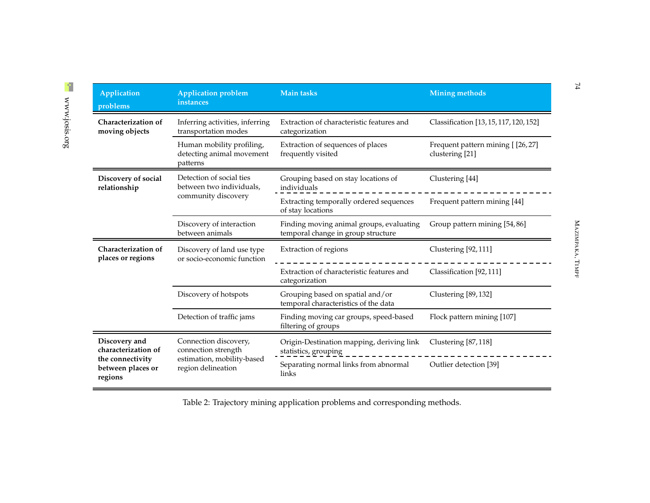| Application<br>problems                                                                  | <b>Application problem</b><br>instances                  | <b>Main tasks</b>                                                              | <b>Mining methods</b>                               |  |  |
|------------------------------------------------------------------------------------------|----------------------------------------------------------|--------------------------------------------------------------------------------|-----------------------------------------------------|--|--|
| Characterization of<br>moving objects                                                    | Inferring activities, inferring<br>transportation modes  | Extraction of characteristic features and<br>categorization                    | Classification [13, 15, 117, 120, 152]              |  |  |
| Human mobility profiling,<br>frequently visited<br>detecting animal movement<br>patterns |                                                          | Extraction of sequences of places                                              | Frequent pattern mining [[26,27]<br>clustering [21] |  |  |
| Discovery of social<br>relationship                                                      | Detection of social ties<br>between two individuals,     | Grouping based on stay locations of<br>individuals                             | Clustering [44]                                     |  |  |
|                                                                                          | community discovery                                      | Extracting temporally ordered sequences<br>of stay locations                   | Frequent pattern mining [44]                        |  |  |
|                                                                                          | Discovery of interaction<br>between animals              | Finding moving animal groups, evaluating<br>temporal change in group structure | Group pattern mining [54,86]                        |  |  |
| Characterization of<br>places or regions                                                 | Discovery of land use type<br>or socio-economic function | Extraction of regions                                                          | Clustering [92, 111]                                |  |  |
|                                                                                          |                                                          | Extraction of characteristic features and<br>categorization                    | Classification [92,111]                             |  |  |
|                                                                                          | Discovery of hotspots                                    | Grouping based on spatial and/or<br>temporal characteristics of the data       | Clustering [89, 132]                                |  |  |
|                                                                                          | Detection of traffic jams                                | Finding moving car groups, speed-based<br>filtering of groups                  | Flock pattern mining [107]                          |  |  |
| Discovery and<br>characterization of                                                     | Connection discovery,<br>connection strength             | Origin-Destination mapping, deriving link<br>statistics, grouping              | Clustering [87, 118]                                |  |  |
| the connectivity<br>between places or<br>regions                                         | estimation, mobility-based<br>region delineation         | Separating normal links from abnormal<br>links                                 | Outlier detection [39]                              |  |  |

<span id="page-13-0"></span>Table 2: Trajectory mining application problems and corresponding methods.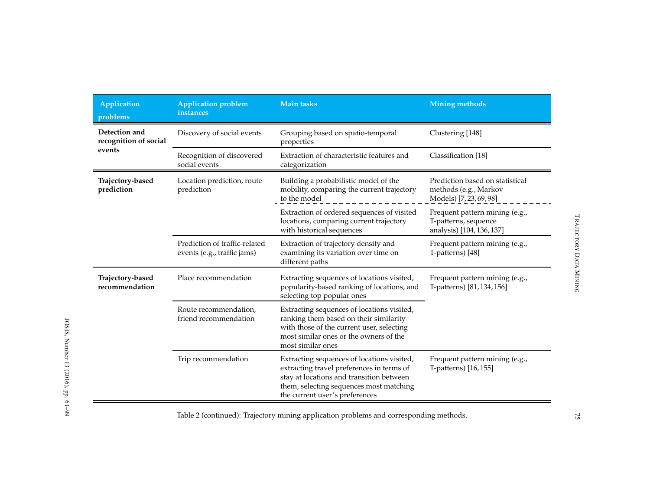| Application<br>problems                | <b>Application problem</b><br>instances                      | <b>Main tasks</b>                                                                                                                                                                                                | <b>Mining methods</b>                                                               |  |
|----------------------------------------|--------------------------------------------------------------|------------------------------------------------------------------------------------------------------------------------------------------------------------------------------------------------------------------|-------------------------------------------------------------------------------------|--|
| Detection and<br>recognition of social | Discovery of social events                                   | Grouping based on spatio-temporal<br>properties                                                                                                                                                                  | Clustering [148]                                                                    |  |
| events                                 | Recognition of discovered<br>social events                   | Extraction of characteristic features and<br>categorization                                                                                                                                                      | Classification [18]                                                                 |  |
| Trajectory-based<br>prediction         | Location prediction, route<br>prediction                     | Building a probabilistic model of the<br>mobility, comparing the current trajectory<br>to the model                                                                                                              | Prediction based on statistical<br>methods (e.g., Markov<br>Models) [7, 23, 69, 98] |  |
|                                        |                                                              | Extraction of ordered sequences of visited<br>locations, comparing current trajectory<br>with historical sequences                                                                                               | Frequent pattern mining (e.g.,<br>T-patterns, sequence<br>analysis) [104, 136, 137] |  |
|                                        | Prediction of traffic-related<br>events (e.g., traffic jams) | Extraction of trajectory density and<br>examining its variation over time on<br>different paths                                                                                                                  | Frequent pattern mining (e.g.,<br>T-patterns) [48]                                  |  |
| Trajectory-based<br>recommendation     | Place recommendation                                         | Extracting sequences of locations visited,<br>popularity-based ranking of locations, and<br>selecting top popular ones                                                                                           | Frequent pattern mining (e.g.,<br>T-patterns) [81, 134, 156]                        |  |
|                                        | Route recommendation,<br>friend recommendation               | Extracting sequences of locations visited,<br>ranking them based on their similarity<br>with those of the current user, selecting<br>most similar ones or the owners of the<br>most similar ones                 |                                                                                     |  |
|                                        | Trip recommendation                                          | Extracting sequences of locations visited,<br>extracting travel preferences in terms of<br>stay at locations and transition between<br>them, selecting sequences most matching<br>the current user's preferences | Frequent pattern mining (e.g.,<br>T-patterns) [16,155]                              |  |

Table <sup>2</sup> (continued): Trajectory mining application problems and corresponding methods.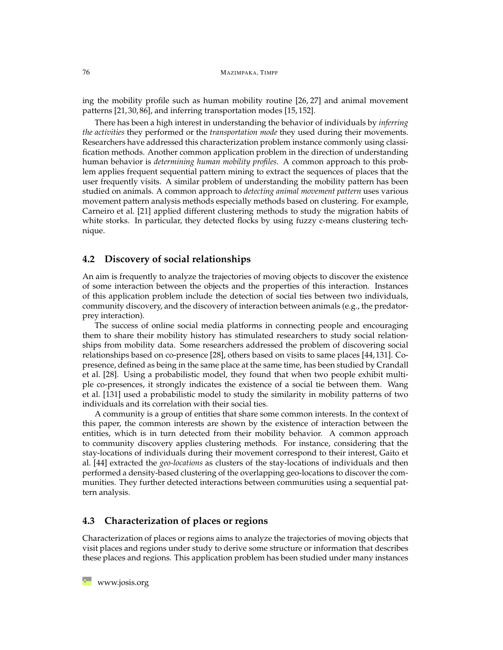ing the mobility profile such as human mobility routine [\[26,](#page-27-8) [27\]](#page-27-9) and animal movement patterns [\[21,](#page-27-10) [30,](#page-28-6) [86\]](#page-32-3), and inferring transportation modes [\[15,](#page-26-2) [152\]](#page-38-2).

There has been a high interest in understanding the behavior of individuals by *inferring the activities* they performed or the *transportation mode* they used during their movements. Researchers have addressed this characterization problem instance commonly using classification methods. Another common application problem in the direction of understanding human behavior is *determining human mobility profiles*. A common approach to this problem applies frequent sequential pattern mining to extract the sequences of places that the user frequently visits. A similar problem of understanding the mobility pattern has been studied on animals. A common approach to *detecting animal movement pattern* uses various movement pattern analysis methods especially methods based on clustering. For example, Carneiro et al. [\[21\]](#page-27-10) applied different clustering methods to study the migration habits of white storks. In particular, they detected flocks by using fuzzy c-means clustering technique.

### **4.2 Discovery of social relationships**

An aim is frequently to analyze the trajectories of moving objects to discover the existence of some interaction between the objects and the properties of this interaction. Instances of this application problem include the detection of social ties between two individuals, community discovery, and the discovery of interaction between animals (e.g., the predatorprey interaction).

The success of online social media platforms in connecting people and encouraging them to share their mobility history has stimulated researchers to study social relationships from mobility data. Some researchers addressed the problem of discovering social relationships based on co-presence [\[28\]](#page-27-11), others based on visits to same places [\[44,](#page-29-9) [131\]](#page-36-4). Copresence, defined as being in the same place at the same time, has been studied by Crandall et al. [\[28\]](#page-27-11). Using a probabilistic model, they found that when two people exhibit multiple co-presences, it strongly indicates the existence of a social tie between them. Wang et al. [\[131\]](#page-36-4) used a probabilistic model to study the similarity in mobility patterns of two individuals and its correlation with their social ties.

A community is a group of entities that share some common interests. In the context of this paper, the common interests are shown by the existence of interaction between the entities, which is in turn detected from their mobility behavior. A common approach to community discovery applies clustering methods. For instance, considering that the stay-locations of individuals during their movement correspond to their interest, Gaito et al. [\[44\]](#page-29-9) extracted the *geo-locations* as clusters of the stay-locations of individuals and then performed a density-based clustering of the overlapping geo-locations to discover the communities. They further detected interactions between communities using a sequential pattern analysis.

# **4.3 Characterization of places or regions**

Characterization of places or regions aims to analyze the trajectories of moving objects that visit places and regions under study to derive some structure or information that describes these places and regions. This application problem has been studied under many instances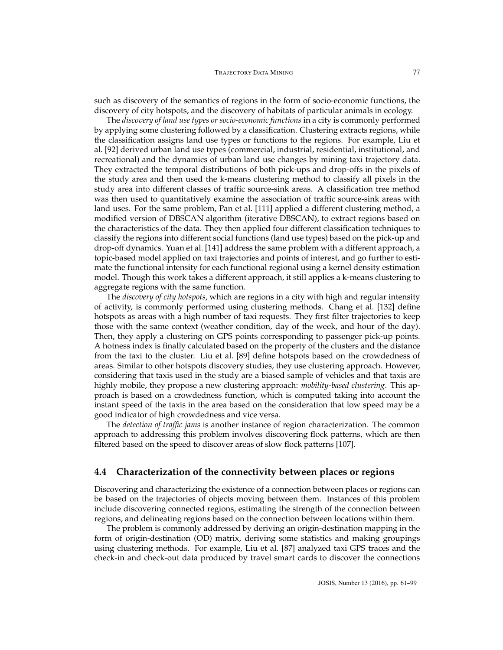such as discovery of the semantics of regions in the form of socio-economic functions, the discovery of city hotspots, and the discovery of habitats of particular animals in ecology.

The *discovery of land use types or socio-economic functions* in a city is commonly performed by applying some clustering followed by a classification. Clustering extracts regions, while the classification assigns land use types or functions to the regions. For example, Liu et al. [\[92\]](#page-33-7) derived urban land use types (commercial, industrial, residential, institutional, and recreational) and the dynamics of urban land use changes by mining taxi trajectory data. They extracted the temporal distributions of both pick-ups and drop-offs in the pixels of the study area and then used the k-means clustering method to classify all pixels in the study area into different classes of traffic source-sink areas. A classification tree method was then used to quantitatively examine the association of traffic source-sink areas with land uses. For the same problem, Pan et al. [\[111\]](#page-34-10) applied a different clustering method, a modified version of DBSCAN algorithm (iterative DBSCAN), to extract regions based on the characteristics of the data. They then applied four different classification techniques to classify the regions into different social functions (land use types) based on the pick-up and drop-off dynamics. Yuan et al. [\[141\]](#page-37-7) address the same problem with a different approach, a topic-based model applied on taxi trajectories and points of interest, and go further to estimate the functional intensity for each functional regional using a kernel density estimation model. Though this work takes a different approach, it still applies a k-means clustering to aggregate regions with the same function.

The *discovery of city hotspots*, which are regions in a city with high and regular intensity of activity, is commonly performed using clustering methods. Chang et al. [\[132\]](#page-36-5) define hotspots as areas with a high number of taxi requests. They first filter trajectories to keep those with the same context (weather condition, day of the week, and hour of the day). Then, they apply a clustering on GPS points corresponding to passenger pick-up points. A hotness index is finally calculated based on the property of the clusters and the distance from the taxi to the cluster. Liu et al. [\[89\]](#page-32-10) define hotspots based on the crowdedness of areas. Similar to other hotspots discovery studies, they use clustering approach. However, considering that taxis used in the study are a biased sample of vehicles and that taxis are highly mobile, they propose a new clustering approach: *mobility-based clustering*. This approach is based on a crowdedness function, which is computed taking into account the instant speed of the taxis in the area based on the consideration that low speed may be a good indicator of high crowdedness and vice versa.

The *detection of traffic jams* is another instance of region characterization. The common approach to addressing this problem involves discovering flock patterns, which are then filtered based on the speed to discover areas of slow flock patterns [\[107\]](#page-34-11).

## **4.4 Characterization of the connectivity between places or regions**

Discovering and characterizing the existence of a connection between places or regions can be based on the trajectories of objects moving between them. Instances of this problem include discovering connected regions, estimating the strength of the connection between regions, and delineating regions based on the connection between locations within them.

The problem is commonly addressed by deriving an origin-destination mapping in the form of origin-destination (OD) matrix, deriving some statistics and making groupings using clustering methods. For example, Liu et al. [\[87\]](#page-32-11) analyzed taxi GPS traces and the check-in and check-out data produced by travel smart cards to discover the connections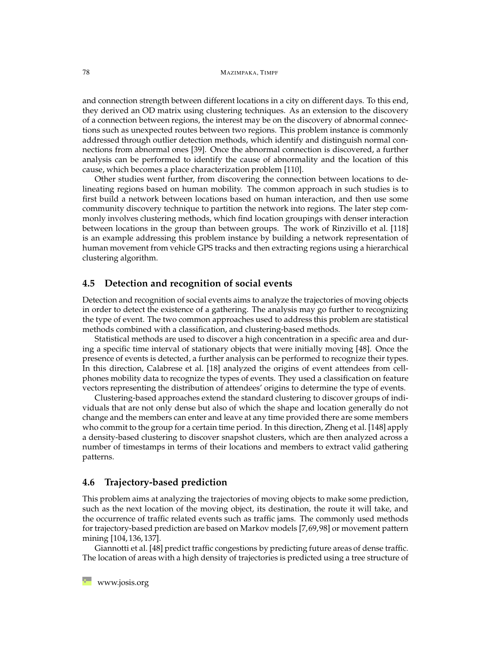#### 78 MAZIMPAKA, TIMPF

and connection strength between different locations in a city on different days. To this end, they derived an OD matrix using clustering techniques. As an extension to the discovery of a connection between regions, the interest may be on the discovery of abnormal connections such as unexpected routes between two regions. This problem instance is commonly addressed through outlier detection methods, which identify and distinguish normal connections from abnormal ones [\[39\]](#page-28-7). Once the abnormal connection is discovered, a further analysis can be performed to identify the cause of abnormality and the location of this cause, which becomes a place characterization problem [\[110\]](#page-34-12).

Other studies went further, from discovering the connection between locations to delineating regions based on human mobility. The common approach in such studies is to first build a network between locations based on human interaction, and then use some community discovery technique to partition the network into regions. The later step commonly involves clustering methods, which find location groupings with denser interaction between locations in the group than between groups. The work of Rinzivillo et al. [\[118\]](#page-35-7) is an example addressing this problem instance by building a network representation of human movement from vehicle GPS tracks and then extracting regions using a hierarchical clustering algorithm.

## **4.5 Detection and recognition of social events**

Detection and recognition of social events aims to analyze the trajectories of moving objects in order to detect the existence of a gathering. The analysis may go further to recognizing the type of event. The two common approaches used to address this problem are statistical methods combined with a classification, and clustering-based methods.

Statistical methods are used to discover a high concentration in a specific area and during a specific time interval of stationary objects that were initially moving [\[48\]](#page-29-10). Once the presence of events is detected, a further analysis can be performed to recognize their types. In this direction, Calabrese et al. [\[18\]](#page-27-12) analyzed the origins of event attendees from cellphones mobility data to recognize the types of events. They used a classification on feature vectors representing the distribution of attendees' origins to determine the type of events.

Clustering-based approaches extend the standard clustering to discover groups of individuals that are not only dense but also of which the shape and location generally do not change and the members can enter and leave at any time provided there are some members who commit to the group for a certain time period. In this direction, Zheng et al. [\[148\]](#page-38-7) apply a density-based clustering to discover snapshot clusters, which are then analyzed across a number of timestamps in terms of their locations and members to extract valid gathering patterns.

## **4.6 Trajectory-based prediction**

This problem aims at analyzing the trajectories of moving objects to make some prediction, such as the next location of the moving object, its destination, the route it will take, and the occurrence of traffic related events such as traffic jams. The commonly used methods for trajectory-based prediction are based on Markov models [\[7,](#page-26-5)[69,](#page-31-7)[98\]](#page-33-4) or movement pattern mining [\[104,](#page-34-5) [136,](#page-37-4) [137\]](#page-37-3).

Giannotti et al. [\[48\]](#page-29-10) predict traffic congestions by predicting future areas of dense traffic. The location of areas with a high density of trajectories is predicted using a tree structure of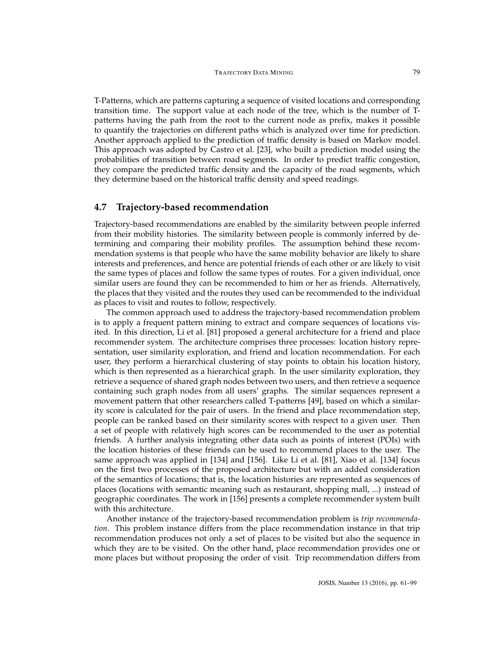T-Patterns, which are patterns capturing a sequence of visited locations and corresponding transition time. The support value at each node of the tree, which is the number of Tpatterns having the path from the root to the current node as prefix, makes it possible to quantify the trajectories on different paths which is analyzed over time for prediction. Another approach applied to the prediction of traffic density is based on Markov model. This approach was adopted by Castro et al. [\[23\]](#page-27-13), who built a prediction model using the probabilities of transition between road segments. In order to predict traffic congestion, they compare the predicted traffic density and the capacity of the road segments, which they determine based on the historical traffic density and speed readings.

#### **4.7 Trajectory-based recommendation**

Trajectory-based recommendations are enabled by the similarity between people inferred from their mobility histories. The similarity between people is commonly inferred by determining and comparing their mobility profiles. The assumption behind these recommendation systems is that people who have the same mobility behavior are likely to share interests and preferences, and hence are potential friends of each other or are likely to visit the same types of places and follow the same types of routes. For a given individual, once similar users are found they can be recommended to him or her as friends. Alternatively, the places that they visited and the routes they used can be recommended to the individual as places to visit and routes to follow, respectively.

The common approach used to address the trajectory-based recommendation problem is to apply a frequent pattern mining to extract and compare sequences of locations visited. In this direction, Li et al. [\[81\]](#page-32-12) proposed a general architecture for a friend and place recommender system. The architecture comprises three processes: location history representation, user similarity exploration, and friend and location recommendation. For each user, they perform a hierarchical clustering of stay points to obtain his location history, which is then represented as a hierarchical graph. In the user similarity exploration, they retrieve a sequence of shared graph nodes between two users, and then retrieve a sequence containing such graph nodes from all users' graphs. The similar sequences represent a movement pattern that other researchers called T-patterns [\[49\]](#page-29-2), based on which a similarity score is calculated for the pair of users. In the friend and place recommendation step, people can be ranked based on their similarity scores with respect to a given user. Then a set of people with relatively high scores can be recommended to the user as potential friends. A further analysis integrating other data such as points of interest (POIs) with the location histories of these friends can be used to recommend places to the user. The same approach was applied in [\[134\]](#page-36-6) and [\[156\]](#page-38-8). Like Li et al. [\[81\]](#page-32-12), Xiao et al. [\[134\]](#page-36-6) focus on the first two processes of the proposed architecture but with an added consideration of the semantics of locations; that is, the location histories are represented as sequences of places (locations with semantic meaning such as restaurant, shopping mall, ...) instead of geographic coordinates. The work in [\[156\]](#page-38-8) presents a complete recommender system built with this architecture.

Another instance of the trajectory-based recommendation problem is *trip recommendation*. This problem instance differs from the place recommendation instance in that trip recommendation produces not only a set of places to be visited but also the sequence in which they are to be visited. On the other hand, place recommendation provides one or more places but without proposing the order of visit. Trip recommendation differs from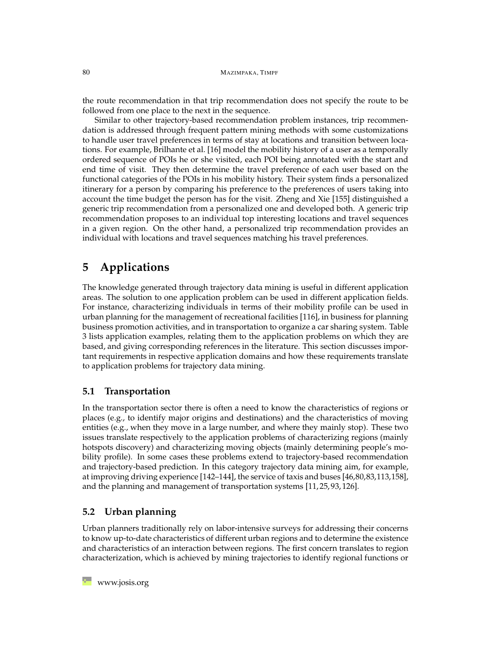the route recommendation in that trip recommendation does not specify the route to be followed from one place to the next in the sequence.

Similar to other trajectory-based recommendation problem instances, trip recommendation is addressed through frequent pattern mining methods with some customizations to handle user travel preferences in terms of stay at locations and transition between locations. For example, Brilhante et al. [\[16\]](#page-26-10) model the mobility history of a user as a temporally ordered sequence of POIs he or she visited, each POI being annotated with the start and end time of visit. They then determine the travel preference of each user based on the functional categories of the POIs in his mobility history. Their system finds a personalized itinerary for a person by comparing his preference to the preferences of users taking into account the time budget the person has for the visit. Zheng and Xie [\[155\]](#page-38-9) distinguished a generic trip recommendation from a personalized one and developed both. A generic trip recommendation proposes to an individual top interesting locations and travel sequences in a given region. On the other hand, a personalized trip recommendation provides an individual with locations and travel sequences matching his travel preferences.

# <span id="page-19-0"></span>**5 Applications**

The knowledge generated through trajectory data mining is useful in different application areas. The solution to one application problem can be used in different application fields. For instance, characterizing individuals in terms of their mobility profile can be used in urban planning for the management of recreational facilities [\[116\]](#page-35-8), in business for planning business promotion activities, and in transportation to organize a car sharing system. Table [3](#page-20-0) lists application examples, relating them to the application problems on which they are based, and giving corresponding references in the literature. This section discusses important requirements in respective application domains and how these requirements translate to application problems for trajectory data mining.

## **5.1 Transportation**

In the transportation sector there is often a need to know the characteristics of regions or places (e.g., to identify major origins and destinations) and the characteristics of moving entities (e.g., when they move in a large number, and where they mainly stop). These two issues translate respectively to the application problems of characterizing regions (mainly hotspots discovery) and characterizing moving objects (mainly determining people's mobility profile). In some cases these problems extend to trajectory-based recommendation and trajectory-based prediction. In this category trajectory data mining aim, for example, at improving driving experience [\[142–](#page-37-8)[144\]](#page-37-9), the service of taxis and buses [\[46,](#page-29-11)[80,](#page-32-13)[83,](#page-32-14)[113,](#page-35-9)[158\]](#page-38-10), and the planning and management of transportation systems [\[11,](#page-26-11) [25,](#page-27-14) [93,](#page-33-8) [126\]](#page-36-7).

## **5.2 Urban planning**

Urban planners traditionally rely on labor-intensive surveys for addressing their concerns to know up-to-date characteristics of different urban regions and to determine the existence and characteristics of an interaction between regions. The first concern translates to region characterization, which is achieved by mining trajectories to identify regional functions or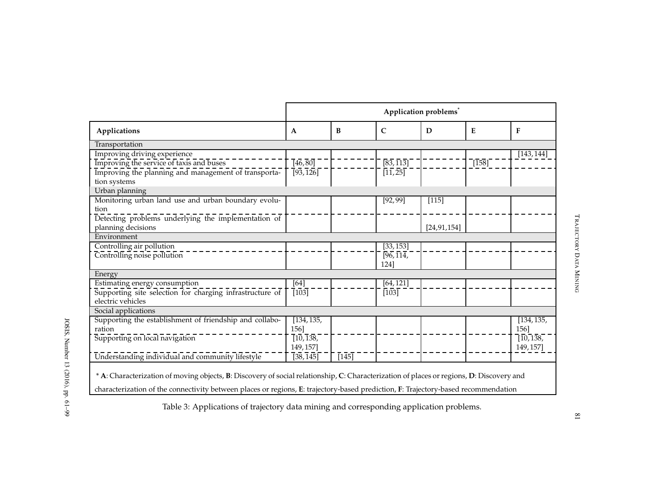|                                                                                                                                                                                                                                                                                |                      |         |                          | Application problems <sup>*</sup> |              |                 |
|--------------------------------------------------------------------------------------------------------------------------------------------------------------------------------------------------------------------------------------------------------------------------------|----------------------|---------|--------------------------|-----------------------------------|--------------|-----------------|
| Applications                                                                                                                                                                                                                                                                   | $\mathbf{A}$         | B       | $\mathsf{C}$             | D                                 | E            | $\mathbf{F}$    |
| Transportation                                                                                                                                                                                                                                                                 |                      |         |                          |                                   |              |                 |
| Improving driving experience                                                                                                                                                                                                                                                   |                      |         |                          |                                   |              | [143, 144]      |
| Improving the service of taxis and buses                                                                                                                                                                                                                                       | $\overline{[46,80]}$ |         | [83, 113]                |                                   | $\sqrt{158}$ |                 |
| Improving the planning and management of transporta-                                                                                                                                                                                                                           | $\{93, 126\}$        |         | $\overline{[11,25]}$     |                                   |              |                 |
| tion systems                                                                                                                                                                                                                                                                   |                      |         |                          |                                   |              |                 |
| Urban planning                                                                                                                                                                                                                                                                 |                      |         |                          |                                   |              |                 |
| Monitoring urban land use and urban boundary evolu-                                                                                                                                                                                                                            |                      |         | [92, 99]                 | $[115]$                           |              |                 |
| tion                                                                                                                                                                                                                                                                           |                      |         |                          |                                   |              |                 |
| Detecting problems underlying the implementation of                                                                                                                                                                                                                            |                      |         |                          |                                   |              |                 |
| planning decisions                                                                                                                                                                                                                                                             |                      |         |                          | [24, 91, 154]                     |              |                 |
| Environment                                                                                                                                                                                                                                                                    |                      |         |                          |                                   |              |                 |
| Controlling air pollution                                                                                                                                                                                                                                                      |                      |         | [33, 153]                |                                   |              |                 |
| Controlling noise pollution                                                                                                                                                                                                                                                    |                      |         | $\sqrt{96}, \sqrt{114},$ |                                   |              |                 |
|                                                                                                                                                                                                                                                                                |                      |         | 1241                     |                                   |              |                 |
| Energy                                                                                                                                                                                                                                                                         |                      |         |                          |                                   |              |                 |
| Estimating energy consumption                                                                                                                                                                                                                                                  | [64]                 |         | [64, 121]                |                                   |              |                 |
| Supporting site selection for charging infrastructure of                                                                                                                                                                                                                       | $\overline{103}$     |         | $[103]$                  |                                   |              |                 |
| electric vehicles                                                                                                                                                                                                                                                              |                      |         |                          |                                   |              |                 |
| Social applications                                                                                                                                                                                                                                                            |                      |         |                          |                                   |              |                 |
| Supporting the establishment of friendship and collabo-                                                                                                                                                                                                                        | [134, 135,           |         |                          |                                   |              | [134, 135,      |
| ration                                                                                                                                                                                                                                                                         | 156]                 |         |                          |                                   |              | 156]            |
| Supporting on local navigation                                                                                                                                                                                                                                                 | [10, 138,            |         |                          |                                   |              | $\sqrt{10,138}$ |
|                                                                                                                                                                                                                                                                                | 149, 157]            |         |                          |                                   |              | 149, 157]       |
| Understanding individual and community lifestyle                                                                                                                                                                                                                               | $\sqrt{38,145}$      | $[145]$ |                          |                                   |              |                 |
| * A: Characterization of moving objects, B: Discovery of social relationship, C: Characterization of places or regions, D: Discovery and<br>characterization of the connectivity between places or regions, E: trajectory-based prediction, F: Trajectory-based recommendation |                      |         |                          |                                   |              |                 |

Table 3: Applications of trajectory data mining and corresponding application problems.

<span id="page-20-0"></span>81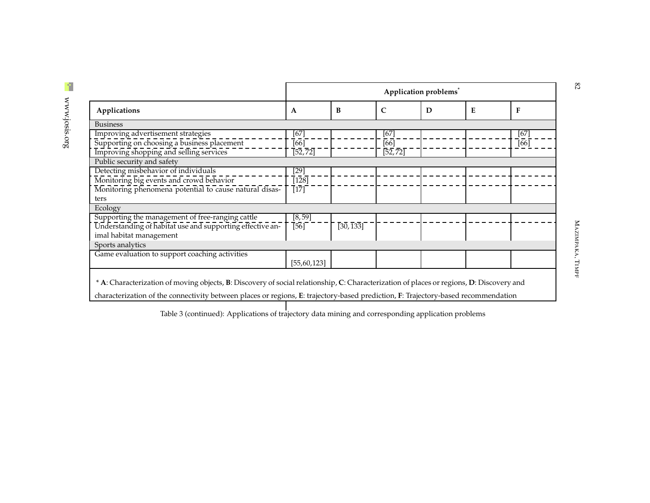|                                                           | Application problems <sup>®</sup> |           |                      |   |   |        |  |
|-----------------------------------------------------------|-----------------------------------|-----------|----------------------|---|---|--------|--|
| Applications                                              | A                                 | B         | $\mathsf{C}$         | D | E | F      |  |
| <b>Business</b>                                           |                                   |           |                      |   |   |        |  |
| Improving advertisement strategies                        | $[67]$                            |           | $[67]$               |   |   | $[67]$ |  |
| Supporting on choosing a business placement               | [66]                              |           | [66]                 |   |   | $[66]$ |  |
| Improving shopping and selling services                   | $\overline{[52,72]}$              |           | $\overline{[52,72]}$ |   |   |        |  |
| Public security and safety                                |                                   |           |                      |   |   |        |  |
| Detecting misbehavior of individuals                      | $[29]$                            |           |                      |   |   |        |  |
| Monitoring big events and crowd behavior                  | $\overline{[128]}$                |           |                      |   |   |        |  |
| Monitoring phenomena potential to cause natural disas-    | $[17]$                            |           |                      |   |   |        |  |
| ters                                                      |                                   |           |                      |   |   |        |  |
| Ecology                                                   |                                   |           |                      |   |   |        |  |
| Supporting the management of free-ranging cattle          | [8, 59]                           |           |                      |   |   |        |  |
| Understanding of habitat use and supporting effective an- | [56]                              | [30, 133] |                      |   |   |        |  |
| imal habitat management                                   |                                   |           |                      |   |   |        |  |
| Sports analytics                                          |                                   |           |                      |   |   |        |  |
| Game evaluation to support coaching activities            |                                   |           |                      |   |   |        |  |
|                                                           | [55, 60, 123]                     |           |                      |   |   |        |  |

characterization of the connectivity between places or regions, **<sup>E</sup>**: trajectory-based prediction, **<sup>F</sup>**: Trajectory-based recommendation

Table 3 (continued): Applications of trajectory data mining and corresponding application problems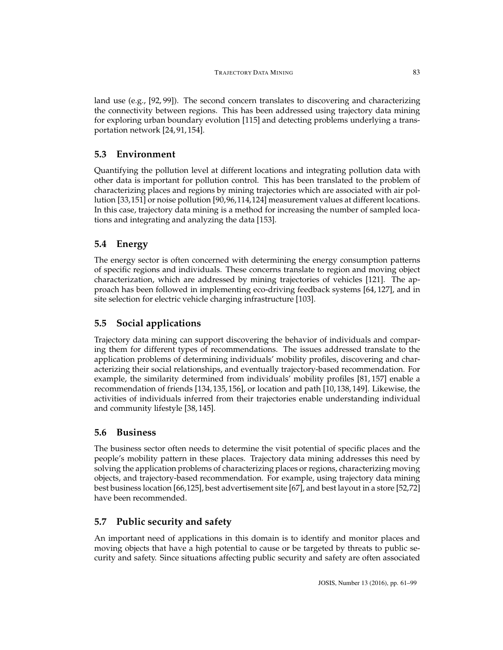land use (e.g., [\[92,](#page-33-7) [99\]](#page-33-13)). The second concern translates to discovering and characterizing the connectivity between regions. This has been addressed using trajectory data mining for exploring urban boundary evolution [\[115\]](#page-35-15) and detecting problems underlying a transportation network [\[24,](#page-27-18) [91,](#page-33-14) [154\]](#page-38-16).

# **5.3 Environment**

Quantifying the pollution level at different locations and integrating pollution data with other data is important for pollution control. This has been translated to the problem of characterizing places and regions by mining trajectories which are associated with air pollution [\[33,](#page-28-12)[151\]](#page-38-17) or noise pollution [\[90,](#page-32-17)[96,](#page-33-15)[114,](#page-35-16)[124\]](#page-36-12) measurement values at different locations. In this case, trajectory data mining is a method for increasing the number of sampled locations and integrating and analyzing the data [\[153\]](#page-38-18).

# **5.4 Energy**

The energy sector is often concerned with determining the energy consumption patterns of specific regions and individuals. These concerns translate to region and moving object characterization, which are addressed by mining trajectories of vehicles [\[121\]](#page-35-17). The approach has been followed in implementing eco-driving feedback systems [\[64,](#page-30-12) [127\]](#page-36-13), and in site selection for electric vehicle charging infrastructure [\[103\]](#page-34-14).

# **5.5 Social applications**

Trajectory data mining can support discovering the behavior of individuals and comparing them for different types of recommendations. The issues addressed translate to the application problems of determining individuals' mobility profiles, discovering and characterizing their social relationships, and eventually trajectory-based recommendation. For example, the similarity determined from individuals' mobility profiles [\[81,](#page-32-12) [157\]](#page-38-19) enable a recommendation of friends [\[134,](#page-36-6) [135,](#page-37-15) [156\]](#page-38-8), or location and path [\[10,](#page-26-15) [138,](#page-37-16) [149\]](#page-38-20). Likewise, the activities of individuals inferred from their trajectories enable understanding individual and community lifestyle [\[38,](#page-28-13) [145\]](#page-37-17).

# **5.6 Business**

The business sector often needs to determine the visit potential of specific places and the people's mobility pattern in these places. Trajectory data mining addresses this need by solving the application problems of characterizing places or regions, characterizing moving objects, and trajectory-based recommendation. For example, using trajectory data mining best business location [\[66](#page-31-13)[,125\]](#page-36-14), best advertisement site [\[67\]](#page-31-14), and best layout in a store [\[52](#page-29-14)[,72\]](#page-31-15) have been recommended.

# **5.7 Public security and safety**

An important need of applications in this domain is to identify and monitor places and moving objects that have a high potential to cause or be targeted by threats to public security and safety. Since situations affecting public security and safety are often associated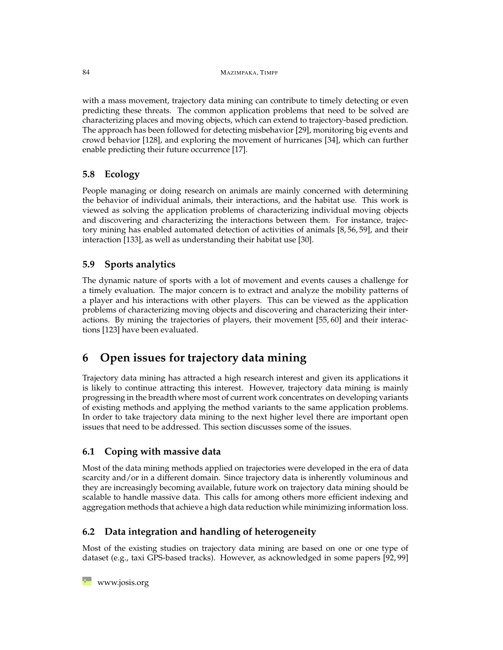with a mass movement, trajectory data mining can contribute to timely detecting or even predicting these threats. The common application problems that need to be solved are characterizing places and moving objects, which can extend to trajectory-based prediction. The approach has been followed for detecting misbehavior [\[29\]](#page-28-14), monitoring big events and crowd behavior [\[128\]](#page-36-15), and exploring the movement of hurricanes [\[34\]](#page-28-15), which can further enable predicting their future occurrence [\[17\]](#page-27-19).

# **5.8 Ecology**

People managing or doing research on animals are mainly concerned with determining the behavior of individual animals, their interactions, and the habitat use. This work is viewed as solving the application problems of characterizing individual moving objects and discovering and characterizing the interactions between them. For instance, trajectory mining has enabled automated detection of activities of animals [\[8,](#page-26-16) [56,](#page-30-13) [59\]](#page-30-14), and their interaction [\[133\]](#page-36-16), as well as understanding their habitat use [\[30\]](#page-28-6).

# **5.9 Sports analytics**

The dynamic nature of sports with a lot of movement and events causes a challenge for a timely evaluation. The major concern is to extract and analyze the mobility patterns of a player and his interactions with other players. This can be viewed as the application problems of characterizing moving objects and discovering and characterizing their interactions. By mining the trajectories of players, their movement [\[55,](#page-30-15) [60\]](#page-30-16) and their interactions [\[123\]](#page-35-18) have been evaluated.

# <span id="page-23-0"></span>**6 Open issues for trajectory data mining**

Trajectory data mining has attracted a high research interest and given its applications it is likely to continue attracting this interest. However, trajectory data mining is mainly progressing in the breadth where most of current work concentrates on developing variants of existing methods and applying the method variants to the same application problems. In order to take trajectory data mining to the next higher level there are important open issues that need to be addressed. This section discusses some of the issues.

# **6.1 Coping with massive data**

Most of the data mining methods applied on trajectories were developed in the era of data scarcity and/or in a different domain. Since trajectory data is inherently voluminous and they are increasingly becoming available, future work on trajectory data mining should be scalable to handle massive data. This calls for among others more efficient indexing and aggregation methods that achieve a high data reduction while minimizing information loss.

# **6.2 Data integration and handling of heterogeneity**

Most of the existing studies on trajectory data mining are based on one or one type of dataset (e.g., taxi GPS-based tracks). However, as acknowledged in some papers [\[92,](#page-33-7) [99\]](#page-33-13)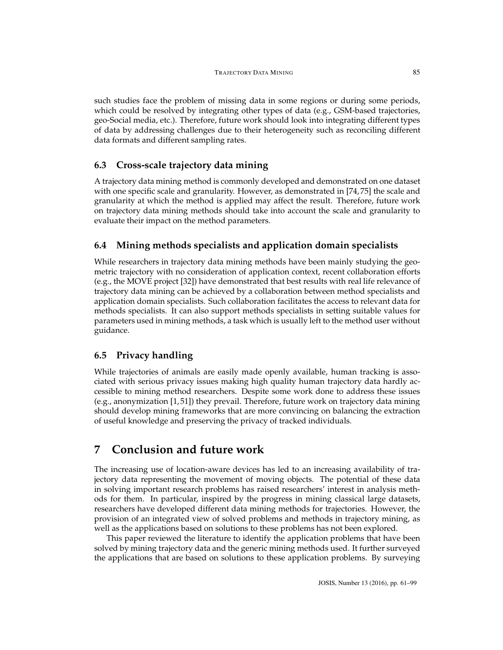such studies face the problem of missing data in some regions or during some periods, which could be resolved by integrating other types of data (e.g., GSM-based trajectories, geo-Social media, etc.). Therefore, future work should look into integrating different types of data by addressing challenges due to their heterogeneity such as reconciling different data formats and different sampling rates.

# **6.3 Cross-scale trajectory data mining**

A trajectory data mining method is commonly developed and demonstrated on one dataset with one specific scale and granularity. However, as demonstrated in [\[74,](#page-31-16) [75\]](#page-31-17) the scale and granularity at which the method is applied may affect the result. Therefore, future work on trajectory data mining methods should take into account the scale and granularity to evaluate their impact on the method parameters.

# **6.4 Mining methods specialists and application domain specialists**

While researchers in trajectory data mining methods have been mainly studying the geometric trajectory with no consideration of application context, recent collaboration efforts (e.g., the MOVE project [\[32\]](#page-28-16)) have demonstrated that best results with real life relevance of trajectory data mining can be achieved by a collaboration between method specialists and application domain specialists. Such collaboration facilitates the access to relevant data for methods specialists. It can also support methods specialists in setting suitable values for parameters used in mining methods, a task which is usually left to the method user without guidance.

## **6.5 Privacy handling**

While trajectories of animals are easily made openly available, human tracking is associated with serious privacy issues making high quality human trajectory data hardly accessible to mining method researchers. Despite some work done to address these issues (e.g., anonymization [\[1,](#page-25-4) [51\]](#page-29-15)) they prevail. Therefore, future work on trajectory data mining should develop mining frameworks that are more convincing on balancing the extraction of useful knowledge and preserving the privacy of tracked individuals.

# <span id="page-24-0"></span>**7 Conclusion and future work**

The increasing use of location-aware devices has led to an increasing availability of trajectory data representing the movement of moving objects. The potential of these data in solving important research problems has raised researchers' interest in analysis methods for them. In particular, inspired by the progress in mining classical large datasets, researchers have developed different data mining methods for trajectories. However, the provision of an integrated view of solved problems and methods in trajectory mining, as well as the applications based on solutions to these problems has not been explored.

This paper reviewed the literature to identify the application problems that have been solved by mining trajectory data and the generic mining methods used. It further surveyed the applications that are based on solutions to these application problems. By surveying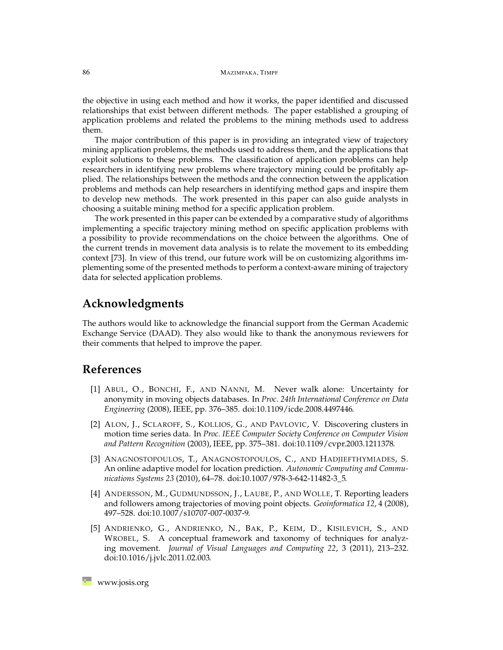the objective in using each method and how it works, the paper identified and discussed relationships that exist between different methods. The paper established a grouping of application problems and related the problems to the mining methods used to address them.

The major contribution of this paper is in providing an integrated view of trajectory mining application problems, the methods used to address them, and the applications that exploit solutions to these problems. The classification of application problems can help researchers in identifying new problems where trajectory mining could be profitably applied. The relationships between the methods and the connection between the application problems and methods can help researchers in identifying method gaps and inspire them to develop new methods. The work presented in this paper can also guide analysts in choosing a suitable mining method for a specific application problem.

The work presented in this paper can be extended by a comparative study of algorithms implementing a specific trajectory mining method on specific application problems with a possibility to provide recommendations on the choice between the algorithms. One of the current trends in movement data analysis is to relate the movement to its embedding context [\[73\]](#page-31-0). In view of this trend, our future work will be on customizing algorithms implementing some of the presented methods to perform a context-aware mining of trajectory data for selected application problems.

# **Acknowledgments**

The authors would like to acknowledge the financial support from the German Academic Exchange Service (DAAD). They also would like to thank the anonymous reviewers for their comments that helped to improve the paper.

# <span id="page-25-4"></span>**References**

- [1] ABUL, O., BONCHI, F., AND NANNI, M. Never walk alone: Uncertainty for anonymity in moving objects databases. In *Proc. 24th International Conference on Data Engineering* (2008), IEEE, pp. 376–385. [doi:10.1109/icde.2008.4497446.](http://dx.doi.org/10.1109/icde.2008.4497446)
- <span id="page-25-1"></span>[2] ALON, J., SCLAROFF, S., KOLLIOS, G., AND PAVLOVIC, V. Discovering clusters in motion time series data. In *Proc. IEEE Computer Society Conference on Computer Vision and Pattern Recognition* (2003), IEEE, pp. 375–381. [doi:10.1109/cvpr.2003.1211378.](http://dx.doi.org/10.1109/cvpr.2003.1211378)
- <span id="page-25-3"></span>[3] ANAGNOSTOPOULOS, T., ANAGNOSTOPOULOS, C., AND HADJIEFTHYMIADES, S. An online adaptive model for location prediction. *Autonomic Computing and Communications Systems 23* (2010), 64–78. [doi:10.1007/978-3-642-11482-3\\_5.](http://dx.doi.org/10.1007/978-3-642-11482-3_5)
- <span id="page-25-2"></span>[4] ANDERSSON, M., GUDMUNDSSON, J., LAUBE, P., AND WOLLE, T. Reporting leaders and followers among trajectories of moving point objects. *Geoinformatica 12*, 4 (2008), 497–528. [doi:10.1007/s10707-007-0037-9.](http://dx.doi.org/10.1007/s10707-007-0037-9)
- <span id="page-25-0"></span>[5] ANDRIENKO, G., ANDRIENKO, N., BAK, P., KEIM, D., KISILEVICH, S., AND WROBEL, S. A conceptual framework and taxonomy of techniques for analyzing movement. *Journal of Visual Languages and Computing 22*, 3 (2011), 213–232. [doi:10.1016/j.jvlc.2011.02.003.](http://dx.doi.org/10.1016/j.jvlc.2011.02.003)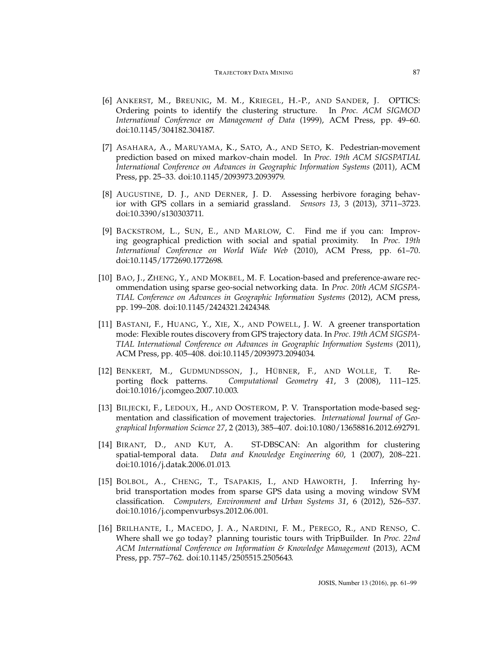- <span id="page-26-14"></span><span id="page-26-13"></span><span id="page-26-12"></span><span id="page-26-9"></span><span id="page-26-8"></span><span id="page-26-7"></span><span id="page-26-6"></span><span id="page-26-0"></span>[6] ANKERST, M., BREUNIG, M. M., KRIEGEL, H.-P., AND SANDER, J. OPTICS: Ordering points to identify the clustering structure. In *Proc. ACM SIGMOD International Conference on Management of Data* (1999), ACM Press, pp. 49–60. [doi:10.1145/304182.304187.](http://dx.doi.org/10.1145/304182.304187)
- <span id="page-26-5"></span>[7] ASAHARA, A., MARUYAMA, K., SATO, A., AND SETO, K. Pedestrian-movement prediction based on mixed markov-chain model. In *Proc. 19th ACM SIGSPATIAL International Conference on Advances in Geographic Information Systems* (2011), ACM Press, pp. 25–33. [doi:10.1145/2093973.2093979.](http://dx.doi.org/10.1145/2093973.2093979)
- <span id="page-26-16"></span>[8] AUGUSTINE, D. J., AND DERNER, J. D. Assessing herbivore foraging behavior with GPS collars in a semiarid grassland. *Sensors 13*, 3 (2013), 3711–3723. [doi:10.3390/s130303711.](http://dx.doi.org/10.3390/s130303711)
- <span id="page-26-4"></span>[9] BACKSTROM, L., SUN, E., AND MARLOW, C. Find me if you can: Improving geographical prediction with social and spatial proximity. In *Proc. 19th International Conference on World Wide Web* (2010), ACM Press, pp. 61–70. [doi:10.1145/1772690.1772698.](http://dx.doi.org/10.1145/1772690.1772698)
- <span id="page-26-15"></span>[10] BAO, J., ZHENG, Y., AND MOKBEL, M. F. Location-based and preference-aware recommendation using sparse geo-social networking data. In *Proc. 20th ACM SIGSPA-TIAL Conference on Advances in Geographic Information Systems* (2012), ACM press, pp. 199–208. [doi:10.1145/2424321.2424348.](http://dx.doi.org/10.1145/2424321.2424348)
- <span id="page-26-11"></span>[11] BASTANI, F., HUANG, Y., XIE, X., AND POWELL, J. W. A greener transportation mode: Flexible routes discovery from GPS trajectory data. In *Proc. 19th ACM SIGSPA-TIAL International Conference on Advances in Geographic Information Systems* (2011), ACM Press, pp. 405–408. [doi:10.1145/2093973.2094034.](http://dx.doi.org/10.1145/2093973.2094034)
- <span id="page-26-3"></span>[12] BENKERT, M., GUDMUNDSSON, J., HÜBNER, F., AND WOLLE, T. Reporting flock patterns. *Computational Geometry 41*, 3 (2008), 111–125. [doi:10.1016/j.comgeo.2007.10.003.](http://dx.doi.org/10.1016/j.comgeo.2007.10.003)
- [13] BILJECKI, F., LEDOUX, H., AND OOSTEROM, P. V. Transportation mode-based segmentation and classification of movement trajectories. *International Journal of Geographical Information Science 27*, 2 (2013), 385–407. [doi:10.1080/13658816.2012.692791.](http://dx.doi.org/10.1080/13658816.2012.692791)
- <span id="page-26-1"></span>[14] BIRANT, D., AND KUT, A. ST-DBSCAN: An algorithm for clustering spatial-temporal data. *Data and Knowledge Engineering 60*, 1 (2007), 208–221. [doi:10.1016/j.datak.2006.01.013.](http://dx.doi.org/10.1016/j.datak.2006.01.013)
- <span id="page-26-2"></span>[15] BOLBOL, A., CHENG, T., TSAPAKIS, I., AND HAWORTH, J. Inferring hybrid transportation modes from sparse GPS data using a moving window SVM classification. *Computers, Environment and Urban Systems 31*, 6 (2012), 526–537. [doi:10.1016/j.compenvurbsys.2012.06.001.](http://dx.doi.org/10.1016/j.compenvurbsys.2012.06.001)
- <span id="page-26-10"></span>[16] BRILHANTE, I., MACEDO, J. A., NARDINI, F. M., PEREGO, R., AND RENSO, C. Where shall we go today? planning touristic tours with TripBuilder. In *Proc. 22nd ACM International Conference on Information & Knowledge Management* (2013), ACM Press, pp. 757–762. [doi:10.1145/2505515.2505643.](http://dx.doi.org/10.1145/2505515.2505643)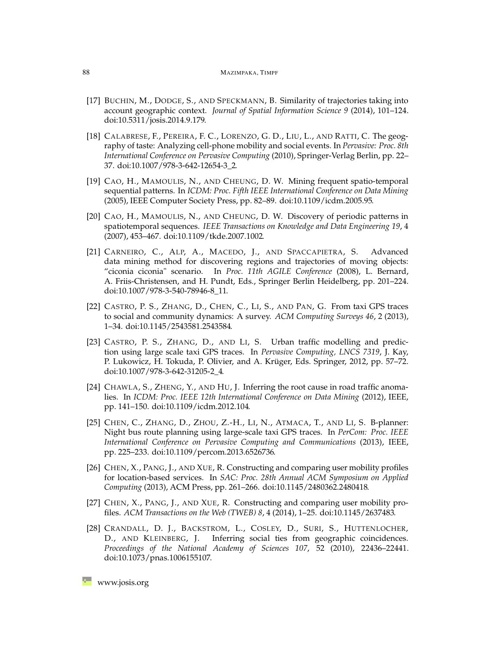- <span id="page-27-19"></span><span id="page-27-17"></span><span id="page-27-16"></span><span id="page-27-15"></span><span id="page-27-7"></span><span id="page-27-6"></span><span id="page-27-5"></span><span id="page-27-4"></span><span id="page-27-3"></span>[17] BUCHIN, M., DODGE, S., AND SPECKMANN, B. Similarity of trajectories taking into account geographic context. *Journal of Spatial Information Science 9* (2014), 101–124. [doi:10.5311/josis.2014.9.179.](http://dx.doi.org/10.5311/josis.2014.9.179)
- <span id="page-27-12"></span>[18] CALABRESE, F., PEREIRA, F. C., LORENZO, G. D., LIU, L., AND RATTI, C. The geography of taste: Analyzing cell-phone mobility and social events. In *Pervasive: Proc. 8th International Conference on Pervasive Computing* (2010), Springer-Verlag Berlin, pp. 22– 37. [doi:10.1007/978-3-642-12654-3\\_2.](http://dx.doi.org/10.1007/978-3-642-12654-3_2)
- <span id="page-27-2"></span>[19] CAO, H., MAMOULIS, N., AND CHEUNG, D. W. Mining frequent spatio-temporal sequential patterns. In *ICDM: Proc. Fifth IEEE International Conference on Data Mining* (2005), IEEE Computer Society Press, pp. 82–89. [doi:10.1109/icdm.2005.95.](http://dx.doi.org/10.1109/icdm.2005.95)
- <span id="page-27-1"></span>[20] CAO, H., MAMOULIS, N., AND CHEUNG, D. W. Discovery of periodic patterns in spatiotemporal sequences. *IEEE Transactions on Knowledge and Data Engineering 19*, 4 (2007), 453–467. [doi:10.1109/tkde.2007.1002.](http://dx.doi.org/10.1109/tkde.2007.1002)
- <span id="page-27-10"></span>[21] CARNEIRO, C., ALP, A., MACEDO, J., AND SPACCAPIETRA, S. Advanced data mining method for discovering regions and trajectories of moving objects: "ciconia ciconia" scenario. In *Proc. 11th AGILE Conference* (2008), L. Bernard, A. Friis-Christensen, and H. Pundt, Eds., Springer Berlin Heidelberg, pp. 201–224. [doi:10.1007/978-3-540-78946-8\\_11.](http://dx.doi.org/10.1007/978-3-540-78946-8_11)
- <span id="page-27-0"></span>[22] CASTRO, P. S., ZHANG, D., CHEN, C., LI, S., AND PAN, G. From taxi GPS traces to social and community dynamics: A survey. *ACM Computing Surveys 46*, 2 (2013), 1–34. [doi:10.1145/2543581.2543584.](http://dx.doi.org/10.1145/2543581.2543584)
- <span id="page-27-13"></span>[23] CASTRO, P. S., ZHANG, D., AND LI, S. Urban traffic modelling and prediction using large scale taxi GPS traces. In *Pervasive Computing, LNCS 7319*, J. Kay, P. Lukowicz, H. Tokuda, P. Olivier, and A. Krüger, Eds. Springer, 2012, pp. 57–72. [doi:10.1007/978-3-642-31205-2\\_4.](http://dx.doi.org/10.1007/978-3-642-31205-2_4)
- <span id="page-27-18"></span>[24] CHAWLA, S., ZHENG, Y., AND HU, J. Inferring the root cause in road traffic anomalies. In *ICDM: Proc. IEEE 12th International Conference on Data Mining* (2012), IEEE, pp. 141–150. [doi:10.1109/icdm.2012.104.](http://dx.doi.org/10.1109/icdm.2012.104)
- <span id="page-27-14"></span>[25] CHEN, C., ZHANG, D., ZHOU, Z.-H., LI, N., ATMACA, T., AND LI, S. B-planner: Night bus route planning using large-scale taxi GPS traces. In *PerCom: Proc. IEEE International Conference on Pervasive Computing and Communications* (2013), IEEE, pp. 225–233. [doi:10.1109/percom.2013.6526736.](http://dx.doi.org/10.1109/percom.2013.6526736)
- <span id="page-27-8"></span>[26] CHEN, X., PANG, J., AND XUE, R. Constructing and comparing user mobility profiles for location-based services. In *SAC: Proc. 28th Annual ACM Symposium on Applied Computing* (2013), ACM Press, pp. 261–266. [doi:10.1145/2480362.2480418.](http://dx.doi.org/10.1145/2480362.2480418)
- <span id="page-27-9"></span>[27] CHEN, X., PANG, J., AND XUE, R. Constructing and comparing user mobility profiles. *ACM Transactions on the Web (TWEB) 8*, 4 (2014), 1–25. [doi:10.1145/2637483.](http://dx.doi.org/10.1145/2637483)
- <span id="page-27-11"></span>[28] CRANDALL, D. J., BACKSTROM, L., COSLEY, D., SURI, S., HUTTENLOCHER, D., AND KLEINBERG, J. Inferring social ties from geographic coincidences. *Proceedings of the National Academy of Sciences 107*, 52 (2010), 22436–22441. [doi:10.1073/pnas.1006155107.](http://dx.doi.org/10.1073/pnas.1006155107)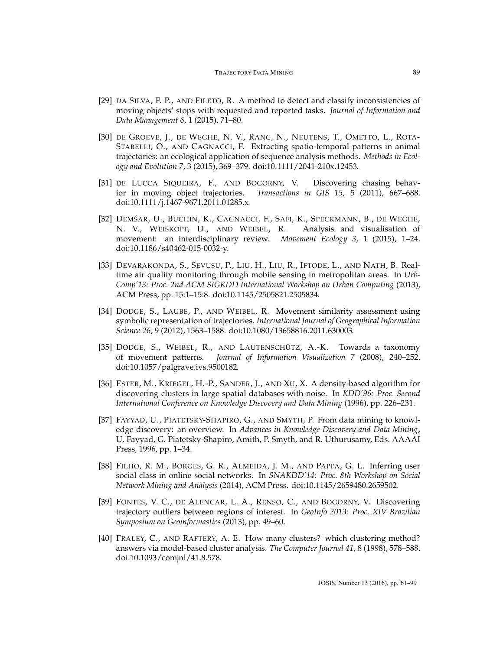- <span id="page-28-14"></span><span id="page-28-11"></span><span id="page-28-10"></span><span id="page-28-9"></span><span id="page-28-8"></span><span id="page-28-5"></span>[29] DA SILVA, F. P., AND FILETO, R. A method to detect and classify inconsistencies of moving objects' stops with requested and reported tasks. *Journal of Information and Data Management 6*, 1 (2015), 71–80.
- <span id="page-28-6"></span>[30] DE GROEVE, J., DE WEGHE, N. V., RANC, N., NEUTENS, T., OMETTO, L., ROTA-STABELLI, O., AND CAGNACCI, F. Extracting spatio-temporal patterns in animal trajectories: an ecological application of sequence analysis methods. *Methods in Ecology and Evolution 7*, 3 (2015), 369–379. [doi:10.1111/2041-210x.12453.](http://dx.doi.org/10.1111/2041-210x.12453)
- <span id="page-28-4"></span>[31] DE LUCCA SIQUEIRA, F., AND BOGORNY, V. Discovering chasing behavior in moving object trajectories. *Transactions in GIS 15*, 5 (2011), 667–688. [doi:10.1111/j.1467-9671.2011.01285.x.](http://dx.doi.org/10.1111/j.1467-9671.2011.01285.x)
- <span id="page-28-16"></span>[32] DEMŠAR, U., BUCHIN, K., CAGNACCI, F., SAFI, K., SPECKMANN, B., DE WEGHE, N. V., WEISKOPF, D., AND WEIBEL, R. Analysis and visualisation of movement: an interdisciplinary review. *Movement Ecology 3*, 1 (2015), 1–24. [doi:10.1186/s40462-015-0032-y.](http://dx.doi.org/10.1186/s40462-015-0032-y)
- <span id="page-28-12"></span>[33] DEVARAKONDA, S., SEVUSU, P., LIU, H., LIU, R., IFTODE, L., AND NATH, B. Realtime air quality monitoring through mobile sensing in metropolitan areas. In *Urb-Comp'13: Proc. 2nd ACM SIGKDD International Workshop on Urban Computing* (2013), ACM Press, pp. 15:1–15:8. [doi:10.1145/2505821.2505834.](http://dx.doi.org/10.1145/2505821.2505834)
- <span id="page-28-15"></span>[34] DODGE, S., LAUBE, P., AND WEIBEL, R. Movement similarity assessment using symbolic representation of trajectories. *International Journal of Geographical Information Science 26*, 9 (2012), 1563–1588. [doi:10.1080/13658816.2011.630003.](http://dx.doi.org/10.1080/13658816.2011.630003)
- <span id="page-28-3"></span>[35] DODGE, S., WEIBEL, R., AND LAUTENSCHÜTZ, A.-K. Towards a taxonomy of movement patterns. *Journal of Information Visualization 7* (2008), 240–252. [doi:10.1057/palgrave.ivs.9500182.](http://dx.doi.org/10.1057/palgrave.ivs.9500182)
- <span id="page-28-1"></span>[36] ESTER, M., KRIEGEL, H.-P., SANDER, J., AND XU, X. A density-based algorithm for discovering clusters in large spatial databases with noise. In *KDD'96: Proc. Second International Conference on Knowledge Discovery and Data Mining* (1996), pp. 226–231.
- <span id="page-28-0"></span>[37] FAYYAD, U., PIATETSKY-SHAPIRO, G., AND SMYTH, P. From data mining to knowledge discovery: an overview. In *Advances in Knowledge Discovery and Data Mining*, U. Fayyad, G. Piatetsky-Shapiro, Amith, P. Smyth, and R. Uthurusamy, Eds. AAAAI Press, 1996, pp. 1–34.
- <span id="page-28-13"></span>[38] FILHO, R. M., BORGES, G. R., ALMEIDA, J. M., AND PAPPA, G. L. Inferring user social class in online social networks. In *SNAKDD'14: Proc. 8th Workshop on Social Network Mining and Analysis* (2014), ACM Press. [doi:10.1145/2659480.2659502.](http://dx.doi.org/10.1145/2659480.2659502)
- <span id="page-28-7"></span>[39] FONTES, V. C., DE ALENCAR, L. A., RENSO, C., AND BOGORNY, V. Discovering trajectory outliers between regions of interest. In *GeoInfo 2013: Proc. XIV Brazilian Symposium on Geoinformastics* (2013), pp. 49–60.
- <span id="page-28-2"></span>[40] FRALEY, C., AND RAFTERY, A. E. How many clusters? which clustering method? answers via model-based cluster analysis. *The Computer Journal 41*, 8 (1998), 578–588. [doi:10.1093/comjnl/41.8.578.](http://dx.doi.org/10.1093/comjnl/41.8.578)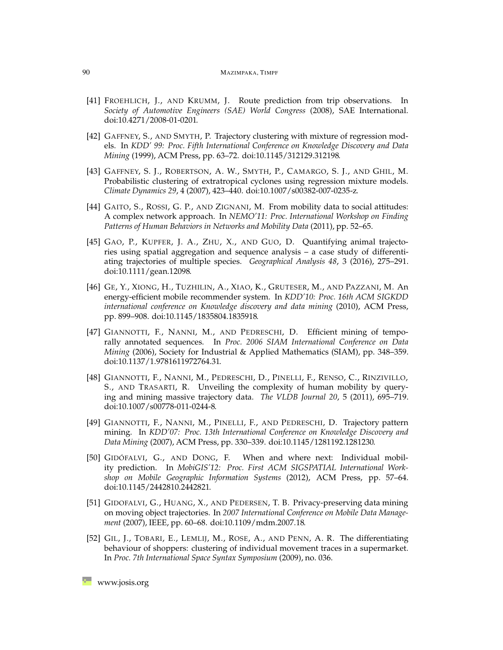- <span id="page-29-13"></span><span id="page-29-12"></span><span id="page-29-8"></span><span id="page-29-7"></span><span id="page-29-5"></span>[41] FROEHLICH, J., AND KRUMM, J. Route prediction from trip observations. In *Society of Automotive Engineers (SAE) World Congress* (2008), SAE International. [doi:10.4271/2008-01-0201.](http://dx.doi.org/10.4271/2008-01-0201)
- <span id="page-29-0"></span>[42] GAFFNEY, S., AND SMYTH, P. Trajectory clustering with mixture of regression models. In *KDD' 99: Proc. Fifth International Conference on Knowledge Discovery and Data Mining* (1999), ACM Press, pp. 63–72. [doi:10.1145/312129.312198.](http://dx.doi.org/10.1145/312129.312198)
- <span id="page-29-1"></span>[43] GAFFNEY, S. J., ROBERTSON, A. W., SMYTH, P., CAMARGO, S. J., AND GHIL, M. Probabilistic clustering of extratropical cyclones using regression mixture models. *Climate Dynamics 29*, 4 (2007), 423–440. [doi:10.1007/s00382-007-0235-z.](http://dx.doi.org/10.1007/s00382-007-0235-z)
- <span id="page-29-9"></span>[44] GAITO, S., ROSSI, G. P., AND ZIGNANI, M. From mobility data to social attitudes: A complex network approach. In *NEMO'11: Proc. International Workshop on Finding Patterns of Human Behaviors in Networks and Mobility Data* (2011), pp. 52–65.
- <span id="page-29-6"></span>[45] GAO, P., KUPFER, J. A., ZHU, X., AND GUO, D. Quantifying animal trajectories using spatial aggregation and sequence analysis – a case study of differentiating trajectories of multiple species. *Geographical Analysis 48*, 3 (2016), 275–291. [doi:10.1111/gean.12098.](http://dx.doi.org/10.1111/gean.12098)
- <span id="page-29-11"></span>[46] GE, Y., XIONG, H., TUZHILIN, A., XIAO, K., GRUTESER, M., AND PAZZANI, M. An energy-efficient mobile recommender system. In *KDD'10: Proc. 16th ACM SIGKDD international conference on Knowledge discovery and data mining* (2010), ACM Press, pp. 899–908. [doi:10.1145/1835804.1835918.](http://dx.doi.org/10.1145/1835804.1835918)
- <span id="page-29-3"></span>[47] GIANNOTTI, F., NANNI, M., AND PEDRESCHI, D. Efficient mining of temporally annotated sequences. In *Proc. 2006 SIAM International Conference on Data Mining* (2006), Society for Industrial & Applied Mathematics (SIAM), pp. 348–359. [doi:10.1137/1.9781611972764.31.](http://dx.doi.org/10.1137/1.9781611972764.31)
- <span id="page-29-10"></span>[48] GIANNOTTI, F., NANNI, M., PEDRESCHI, D., PINELLI, F., RENSO, C., RINZIVILLO, S., AND TRASARTI, R. Unveiling the complexity of human mobility by querying and mining massive trajectory data. *The VLDB Journal 20*, 5 (2011), 695–719. [doi:10.1007/s00778-011-0244-8.](http://dx.doi.org/10.1007/s00778-011-0244-8)
- <span id="page-29-2"></span>[49] GIANNOTTI, F., NANNI, M., PINELLI, F., AND PEDRESCHI, D. Trajectory pattern mining. In *KDD'07: Proc. 13th International Conference on Knowledge Discovery and Data Mining* (2007), ACM Press, pp. 330–339. [doi:10.1145/1281192.1281230.](http://dx.doi.org/10.1145/1281192.1281230)
- <span id="page-29-4"></span>[50] GIDÓFALVI, G., AND DONG, F. When and where next: Individual mobility prediction. In *MobiGIS'12: Proc. First ACM SIGSPATIAL International Workshop on Mobile Geographic Information Systems* (2012), ACM Press, pp. 57–64. [doi:10.1145/2442810.2442821.](http://dx.doi.org/10.1145/2442810.2442821)
- <span id="page-29-15"></span>[51] GIDOFALVI, G., HUANG, X., AND PEDERSEN, T. B. Privacy-preserving data mining on moving object trajectories. In *2007 International Conference on Mobile Data Management* (2007), IEEE, pp. 60–68. [doi:10.1109/mdm.2007.18.](http://dx.doi.org/10.1109/mdm.2007.18)
- <span id="page-29-14"></span>[52] GIL, J., TOBARI, E., LEMLIJ, M., ROSE, A., AND PENN, A. R. The differentiating behaviour of shoppers: clustering of individual movement traces in a supermarket. In *Proc. 7th International Space Syntax Symposium* (2009), no. 036.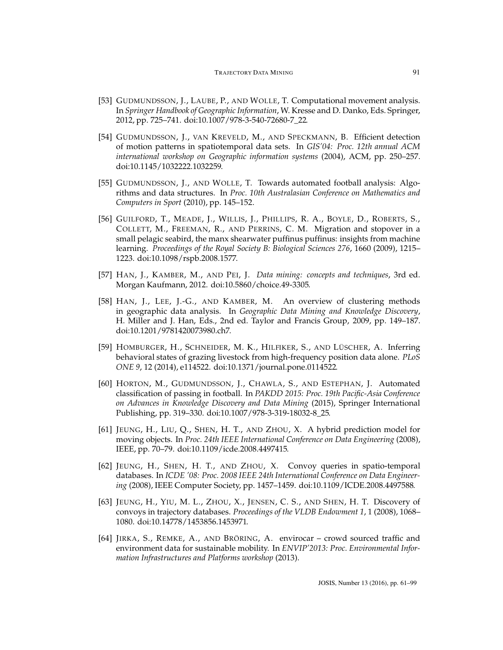- <span id="page-30-11"></span><span id="page-30-10"></span><span id="page-30-9"></span><span id="page-30-8"></span><span id="page-30-7"></span><span id="page-30-6"></span><span id="page-30-0"></span>[53] GUDMUNDSSON, J., LAUBE, P., AND WOLLE, T. Computational movement analysis. In *Springer Handbook of Geographic Information*, W. Kresse and D. Danko, Eds. Springer, 2012, pp. 725–741. [doi:10.1007/978-3-540-72680-7\\_22.](http://dx.doi.org/10.1007/978-3-540-72680-7_22)
- [54] GUDMUNDSSON, J., VAN KREVELD, M., AND SPECKMANN, B. Efficient detection of motion patterns in spatiotemporal data sets. In *GIS'04: Proc. 12th annual ACM international workshop on Geographic information systems* (2004), ACM, pp. 250–257. [doi:10.1145/1032222.1032259.](http://dx.doi.org/10.1145/1032222.1032259)
- <span id="page-30-15"></span>[55] GUDMUNDSSON, J., AND WOLLE, T. Towards automated football analysis: Algorithms and data structures. In *Proc. 10th Australasian Conference on Mathematics and Computers in Sport* (2010), pp. 145–152.
- <span id="page-30-13"></span>[56] GUILFORD, T., MEADE, J., WILLIS, J., PHILLIPS, R. A., BOYLE, D., ROBERTS, S., COLLETT, M., FREEMAN, R., AND PERRINS, C. M. Migration and stopover in a small pelagic seabird, the manx shearwater puffinus puffinus: insights from machine learning. *Proceedings of the Royal Society B: Biological Sciences 276*, 1660 (2009), 1215– 1223. [doi:10.1098/rspb.2008.1577.](http://dx.doi.org/10.1098/rspb.2008.1577)
- <span id="page-30-1"></span>[57] HAN, J., KAMBER, M., AND PEI, J. *Data mining: concepts and techniques*, 3rd ed. Morgan Kaufmann, 2012. [doi:10.5860/choice.49-3305.](http://dx.doi.org/10.5860/choice.49-3305)
- <span id="page-30-2"></span>[58] HAN, J., LEE, J.-G., AND KAMBER, M. An overview of clustering methods in geographic data analysis. In *Geographic Data Mining and Knowledge Discovery*, H. Miller and J. Han, Eds., 2nd ed. Taylor and Francis Group, 2009, pp. 149–187. [doi:10.1201/9781420073980.ch7.](http://dx.doi.org/10.1201/9781420073980.ch7)
- <span id="page-30-14"></span>[59] HOMBURGER, H., SCHNEIDER, M. K., HILFIKER, S., AND LÜSCHER, A. Inferring behavioral states of grazing livestock from high-frequency position data alone. *PLoS ONE 9*, 12 (2014), e114522. [doi:10.1371/journal.pone.0114522.](http://dx.doi.org/10.1371/journal.pone.0114522)
- <span id="page-30-16"></span>[60] HORTON, M., GUDMUNDSSON, J., CHAWLA, S., AND ESTEPHAN, J. Automated classification of passing in football. In *PAKDD 2015: Proc. 19th Pacific-Asia Conference on Advances in Knowledge Discovery and Data Mining* (2015), Springer International Publishing, pp. 319–330. [doi:10.1007/978-3-319-18032-8\\_25.](http://dx.doi.org/10.1007/978-3-319-18032-8_25)
- <span id="page-30-5"></span>[61] JEUNG, H., LIU, Q., SHEN, H. T., AND ZHOU, X. A hybrid prediction model for moving objects. In *Proc. 24th IEEE International Conference on Data Engineering* (2008), IEEE, pp. 70–79. [doi:10.1109/icde.2008.4497415.](http://dx.doi.org/10.1109/icde.2008.4497415)
- <span id="page-30-4"></span>[62] JEUNG, H., SHEN, H. T., AND ZHOU, X. Convoy queries in spatio-temporal databases. In *ICDE '08: Proc. 2008 IEEE 24th International Conference on Data Engineering* (2008), IEEE Computer Society, pp. 1457–1459. [doi:10.1109/ICDE.2008.4497588.](http://dx.doi.org/10.1109/ICDE.2008.4497588)
- <span id="page-30-3"></span>[63] JEUNG, H., YIU, M. L., ZHOU, X., JENSEN, C. S., AND SHEN, H. T. Discovery of convoys in trajectory databases. *Proceedings of the VLDB Endowment 1*, 1 (2008), 1068– 1080. [doi:10.14778/1453856.1453971.](http://dx.doi.org/10.14778/1453856.1453971)
- <span id="page-30-12"></span>[64] JIRKA, S., REMKE, A., AND BRÖRING, A. envirocar – crowd sourced traffic and environment data for sustainable mobility. In *ENVIP'2013: Proc. Environmental Information Infrastructures and Platforms workshop* (2013).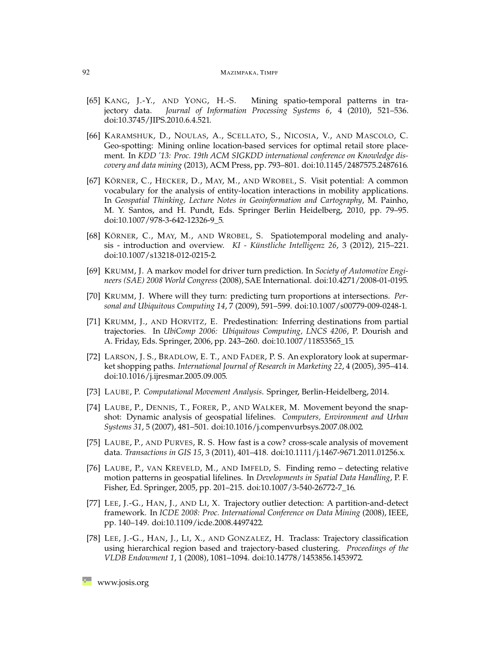- <span id="page-31-12"></span><span id="page-31-11"></span><span id="page-31-10"></span><span id="page-31-9"></span><span id="page-31-3"></span>[65] KANG, J.-Y., AND YONG, H.-S. Mining spatio-temporal patterns in trajectory data. *Journal of Information Processing Systems 6*, 4 (2010), 521–536. [doi:10.3745/JIPS.2010.6.4.521.](http://dx.doi.org/10.3745/JIPS.2010.6.4.521)
- <span id="page-31-13"></span>[66] KARAMSHUK, D., NOULAS, A., SCELLATO, S., NICOSIA, V., AND MASCOLO, C. Geo-spotting: Mining online location-based services for optimal retail store placement. In *KDD '13: Proc. 19th ACM SIGKDD international conference on Knowledge discovery and data mining* (2013), ACM Press, pp. 793–801. [doi:10.1145/2487575.2487616.](http://dx.doi.org/10.1145/2487575.2487616)
- <span id="page-31-14"></span>[67] KÖRNER, C., HECKER, D., MAY, M., AND WROBEL, S. Visit potential: A common vocabulary for the analysis of entity-location interactions in mobility applications. In *Geospatial Thinking, Lecture Notes in Geoinformation and Cartography*, M. Painho, M. Y. Santos, and H. Pundt, Eds. Springer Berlin Heidelberg, 2010, pp. 79–95. [doi:10.1007/978-3-642-12326-9\\_5.](http://dx.doi.org/10.1007/978-3-642-12326-9_5)
- <span id="page-31-2"></span>[68] KÖRNER, C., MAY, M., AND WROBEL, S. Spatiotemporal modeling and analysis - introduction and overview. *KI - Künstliche Intelligenz 26*, 3 (2012), 215–221. [doi:10.1007/s13218-012-0215-2.](http://dx.doi.org/10.1007/s13218-012-0215-2)
- <span id="page-31-7"></span>[69] KRUMM, J. A markov model for driver turn prediction. In *Society of Automotive Engineers (SAE) 2008 World Congress* (2008), SAE International. [doi:10.4271/2008-01-0195.](http://dx.doi.org/10.4271/2008-01-0195)
- <span id="page-31-8"></span>[70] KRUMM, J. Where will they turn: predicting turn proportions at intersections. *Personal and Ubiquitous Computing 14*, 7 (2009), 591–599. [doi:10.1007/s00779-009-0248-1.](http://dx.doi.org/10.1007/s00779-009-0248-1)
- <span id="page-31-6"></span>[71] KRUMM, J., AND HORVITZ, E. Predestination: Inferring destinations from partial trajectories. In *UbiComp 2006: Ubiquitous Computing, LNCS 4206*, P. Dourish and A. Friday, Eds. Springer, 2006, pp. 243–260. [doi:10.1007/11853565\\_15.](http://dx.doi.org/10.1007/11853565_15)
- <span id="page-31-15"></span>[72] LARSON, J. S., BRADLOW, E. T., AND FADER, P. S. An exploratory look at supermarket shopping paths. *International Journal of Research in Marketing 22*, 4 (2005), 395–414. [doi:10.1016/j.ijresmar.2005.09.005.](http://dx.doi.org/10.1016/j.ijresmar.2005.09.005)
- <span id="page-31-16"></span><span id="page-31-0"></span>[73] LAUBE, P. *Computational Movement Analysis*. Springer, Berlin-Heidelberg, 2014.
- [74] LAUBE, P., DENNIS, T., FORER, P., AND WALKER, M. Movement beyond the snapshot: Dynamic analysis of geospatial lifelines. *Computers, Environment and Urban Systems 31*, 5 (2007), 481–501. [doi:10.1016/j.compenvurbsys.2007.08.002.](http://dx.doi.org/10.1016/j.compenvurbsys.2007.08.002)
- <span id="page-31-17"></span>[75] LAUBE, P., AND PURVES, R. S. How fast is a cow? cross-scale analysis of movement data. *Transactions in GIS 15*, 3 (2011), 401–418. [doi:10.1111/j.1467-9671.2011.01256.x.](http://dx.doi.org/10.1111/j.1467-9671.2011.01256.x)
- <span id="page-31-4"></span>[76] LAUBE, P., VAN KREVELD, M., AND IMFELD, S. Finding remo – detecting relative motion patterns in geospatial lifelines. In *Developments in Spatial Data Handling*, P. F. Fisher, Ed. Springer, 2005, pp. 201–215. [doi:10.1007/3-540-26772-7\\_16.](http://dx.doi.org/10.1007/3-540-26772-7_16)
- <span id="page-31-5"></span>[77] LEE, J.-G., HAN, J., AND LI, X. Trajectory outlier detection: A partition-and-detect framework. In *ICDE 2008: Proc. International Conference on Data Mining* (2008), IEEE, pp. 140–149. [doi:10.1109/icde.2008.4497422.](http://dx.doi.org/10.1109/icde.2008.4497422)
- <span id="page-31-1"></span>[78] LEE, J.-G., HAN, J., LI, X., AND GONZALEZ, H. Traclass: Trajectory classification using hierarchical region based and trajectory-based clustering. *Proceedings of the VLDB Endowment 1*, 1 (2008), 1081–1094. [doi:10.14778/1453856.1453972.](http://dx.doi.org/10.14778/1453856.1453972)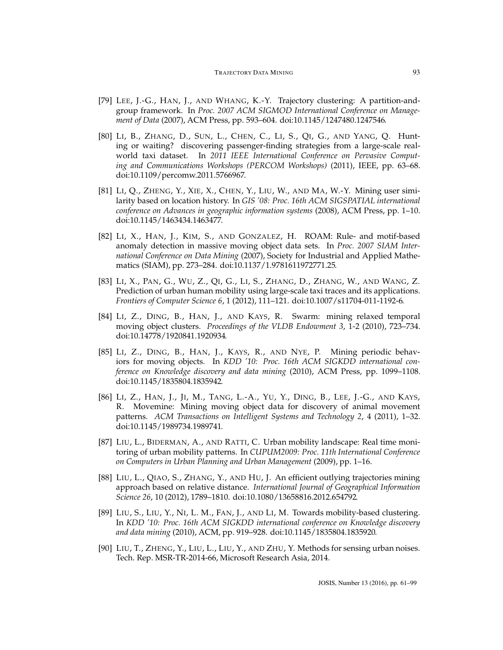- <span id="page-32-16"></span><span id="page-32-15"></span><span id="page-32-9"></span><span id="page-32-8"></span><span id="page-32-7"></span><span id="page-32-6"></span><span id="page-32-0"></span>[79] LEE, J.-G., HAN, J., AND WHANG, K.-Y. Trajectory clustering: A partition-andgroup framework. In *Proc. 2007 ACM SIGMOD International Conference on Management of Data* (2007), ACM Press, pp. 593–604. [doi:10.1145/1247480.1247546.](http://dx.doi.org/10.1145/1247480.1247546)
- <span id="page-32-13"></span>[80] LI, B., ZHANG, D., SUN, L., CHEN, C., LI, S., QI, G., AND YANG, Q. Hunting or waiting? discovering passenger-finding strategies from a large-scale realworld taxi dataset. In *2011 IEEE International Conference on Pervasive Computing and Communications Workshops (PERCOM Workshops)* (2011), IEEE, pp. 63–68. [doi:10.1109/percomw.2011.5766967.](http://dx.doi.org/10.1109/percomw.2011.5766967)
- <span id="page-32-12"></span>[81] LI, Q., ZHENG, Y., XIE, X., CHEN, Y., LIU, W., AND MA, W.-Y. Mining user similarity based on location history. In *GIS '08: Proc. 16th ACM SIGSPATIAL international conference on Advances in geographic information systems* (2008), ACM Press, pp. 1–10. [doi:10.1145/1463434.1463477.](http://dx.doi.org/10.1145/1463434.1463477)
- <span id="page-32-5"></span>[82] LI, X., HAN, J., KIM, S., AND GONZALEZ, H. ROAM: Rule- and motif-based anomaly detection in massive moving object data sets. In *Proc. 2007 SIAM International Conference on Data Mining* (2007), Society for Industrial and Applied Mathematics (SIAM), pp. 273–284. [doi:10.1137/1.9781611972771.25.](http://dx.doi.org/10.1137/1.9781611972771.25)
- <span id="page-32-14"></span>[83] LI, X., PAN, G., WU, Z., QI, G., LI, S., ZHANG, D., ZHANG, W., AND WANG, Z. Prediction of urban human mobility using large-scale taxi traces and its applications. *Frontiers of Computer Science 6*, 1 (2012), 111–121. [doi:10.1007/s11704-011-1192-6.](http://dx.doi.org/10.1007/s11704-011-1192-6)
- <span id="page-32-2"></span>[84] LI, Z., DING, B., HAN, J., AND KAYS, R. Swarm: mining relaxed temporal moving object clusters. *Proceedings of the VLDB Endowment 3*, 1-2 (2010), 723–734. [doi:10.14778/1920841.1920934.](http://dx.doi.org/10.14778/1920841.1920934)
- <span id="page-32-1"></span>[85] LI, Z., DING, B., HAN, J., KAYS, R., AND NYE, P. Mining periodic behaviors for moving objects. In *KDD '10: Proc. 16th ACM SIGKDD international conference on Knowledge discovery and data mining* (2010), ACM Press, pp. 1099–1108. [doi:10.1145/1835804.1835942.](http://dx.doi.org/10.1145/1835804.1835942)
- <span id="page-32-3"></span>[86] LI, Z., HAN, J., JI, M., TANG, L.-A., YU, Y., DING, B., LEE, J.-G., AND KAYS, R. Movemine: Mining moving object data for discovery of animal movement patterns. *ACM Transactions on Intelligent Systems and Technology 2*, 4 (2011), 1–32. [doi:10.1145/1989734.1989741.](http://dx.doi.org/10.1145/1989734.1989741)
- <span id="page-32-11"></span>[87] LIU, L., BIDERMAN, A., AND RATTI, C. Urban mobility landscape: Real time monitoring of urban mobility patterns. In *CUPUM2009: Proc. 11th International Conference on Computers in Urban Planning and Urban Management* (2009), pp. 1–16.
- <span id="page-32-4"></span>[88] LIU, L., QIAO, S., ZHANG, Y., AND HU, J. An efficient outlying trajectories mining approach based on relative distance. *International Journal of Geographical Information Science 26*, 10 (2012), 1789–1810. [doi:10.1080/13658816.2012.654792.](http://dx.doi.org/10.1080/13658816.2012.654792)
- <span id="page-32-10"></span>[89] LIU, S., LIU, Y., NI, L. M., FAN, J., AND LI, M. Towards mobility-based clustering. In *KDD '10: Proc. 16th ACM SIGKDD international conference on Knowledge discovery and data mining* (2010), ACM, pp. 919–928. [doi:10.1145/1835804.1835920.](http://dx.doi.org/10.1145/1835804.1835920)
- <span id="page-32-17"></span>[90] LIU, T., ZHENG, Y., LIU, L., LIU, Y., AND ZHU, Y. Methods for sensing urban noises. Tech. Rep. MSR-TR-2014-66, Microsoft Research Asia, 2014.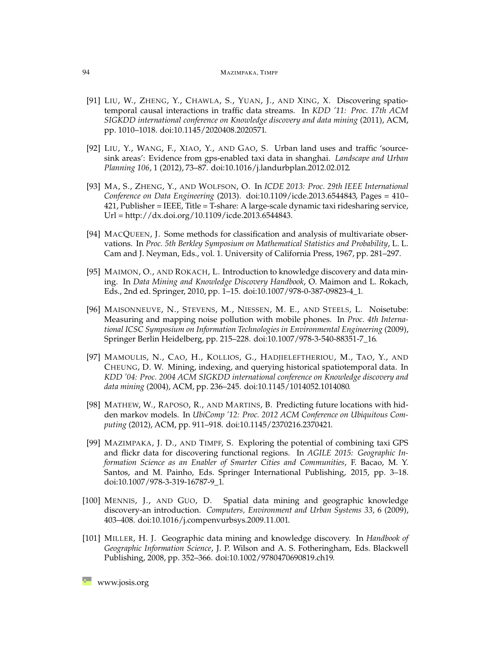#### 94 MAZIMPAKA, TIMPF

- <span id="page-33-14"></span><span id="page-33-12"></span><span id="page-33-11"></span><span id="page-33-10"></span><span id="page-33-9"></span><span id="page-33-6"></span><span id="page-33-5"></span>[91] LIU, W., ZHENG, Y., CHAWLA, S., YUAN, J., AND XING, X. Discovering spatiotemporal causal interactions in traffic data streams. In *KDD '11: Proc. 17th ACM SIGKDD international conference on Knowledge discovery and data mining* (2011), ACM, pp. 1010–1018. [doi:10.1145/2020408.2020571.](http://dx.doi.org/10.1145/2020408.2020571)
- <span id="page-33-7"></span>[92] LIU, Y., WANG, F., XIAO, Y., AND GAO, S. Urban land uses and traffic 'sourcesink areas': Evidence from gps-enabled taxi data in shanghai. *Landscape and Urban Planning 106*, 1 (2012), 73–87. [doi:10.1016/j.landurbplan.2012.02.012.](http://dx.doi.org/10.1016/j.landurbplan.2012.02.012)
- <span id="page-33-8"></span>[93] MA, S., ZHENG, Y., AND WOLFSON, O. In *ICDE 2013: Proc. 29th IEEE International Conference on Data Engineering* (2013). [doi:10.1109/icde.2013.6544843,](http://dx.doi.org/10.1109/icde.2013.6544843) Pages = 410– 421, Publisher = IEEE, Title = T-share: A large-scale dynamic taxi ridesharing service, Url = http://dx.doi.org/10.1109/icde.2013.6544843.
- <span id="page-33-2"></span>[94] MACQUEEN, J. Some methods for classification and analysis of multivariate observations. In *Proc. 5th Berkley Symposium on Mathematical Statistics and Probability*, L. L. Cam and J. Neyman, Eds., vol. 1. University of California Press, 1967, pp. 281–297.
- <span id="page-33-0"></span>[95] MAIMON, O., AND ROKACH, L. Introduction to knowledge discovery and data mining. In *Data Mining and Knowledge Discovery Handbook*, O. Maimon and L. Rokach, Eds., 2nd ed. Springer, 2010, pp. 1–15. [doi:10.1007/978-0-387-09823-4\\_1.](http://dx.doi.org/10.1007/978-0-387-09823-4_1)
- <span id="page-33-15"></span>[96] MAISONNEUVE, N., STEVENS, M., NIESSEN, M. E., AND STEELS, L. Noisetube: Measuring and mapping noise pollution with mobile phones. In *Proc. 4th International ICSC Symposium on Information Technologies in Environmental Engineering* (2009), Springer Berlin Heidelberg, pp. 215–228. [doi:10.1007/978-3-540-88351-7\\_16.](http://dx.doi.org/10.1007/978-3-540-88351-7_16)
- <span id="page-33-3"></span>[97] MAMOULIS, N., CAO, H., KOLLIOS, G., HADJIELEFTHERIOU, M., TAO, Y., AND CHEUNG, D. W. Mining, indexing, and querying historical spatiotemporal data. In *KDD '04: Proc. 2004 ACM SIGKDD international conference on Knowledge discovery and data mining* (2004), ACM, pp. 236–245. [doi:10.1145/1014052.1014080.](http://dx.doi.org/10.1145/1014052.1014080)
- <span id="page-33-4"></span>[98] MATHEW, W., RAPOSO, R., AND MARTINS, B. Predicting future locations with hidden markov models. In *UbiComp '12: Proc. 2012 ACM Conference on Ubiquitous Computing* (2012), ACM, pp. 911–918. [doi:10.1145/2370216.2370421.](http://dx.doi.org/10.1145/2370216.2370421)
- <span id="page-33-13"></span>[99] MAZIMPAKA, J. D., AND TIMPF, S. Exploring the potential of combining taxi GPS and flickr data for discovering functional regions. In *AGILE 2015: Geographic Information Science as an Enabler of Smarter Cities and Communities*, F. Bacao, M. Y. Santos, and M. Painho, Eds. Springer International Publishing, 2015, pp. 3–18. [doi:10.1007/978-3-319-16787-9\\_1.](http://dx.doi.org/10.1007/978-3-319-16787-9_1)
- <span id="page-33-1"></span>[100] MENNIS, J., AND GUO, D. Spatial data mining and geographic knowledge discovery-an introduction. *Computers, Environment and Urban Systems 33*, 6 (2009), 403–408. [doi:10.1016/j.compenvurbsys.2009.11.001.](http://dx.doi.org/10.1016/j.compenvurbsys.2009.11.001)
- [101] MILLER, H. J. Geographic data mining and knowledge discovery. In *Handbook of Geographic Information Science*, J. P. Wilson and A. S. Fotheringham, Eds. Blackwell Publishing, 2008, pp. 352–366. [doi:10.1002/9780470690819.ch19.](http://dx.doi.org/10.1002/9780470690819.ch19)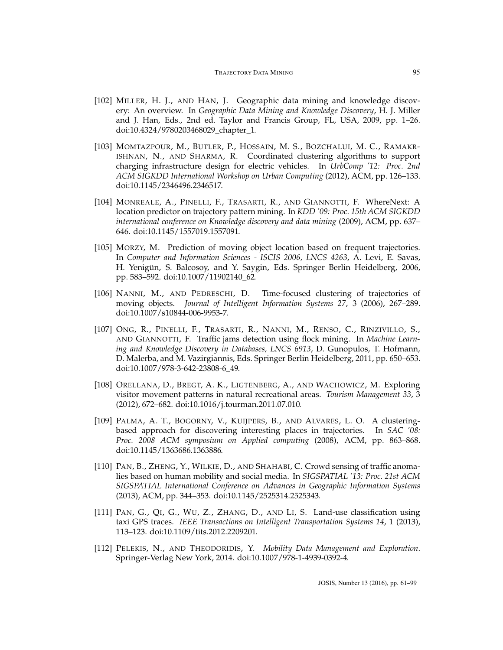- <span id="page-34-13"></span><span id="page-34-9"></span><span id="page-34-8"></span><span id="page-34-7"></span><span id="page-34-1"></span>[102] MILLER, H. J., AND HAN, J. Geographic data mining and knowledge discovery: An overview. In *Geographic Data Mining and Knowledge Discovery*, H. J. Miller and J. Han, Eds., 2nd ed. Taylor and Francis Group, FL, USA, 2009, pp. 1–26. [doi:10.4324/9780203468029\\_chapter\\_1.](http://dx.doi.org/10.4324/9780203468029_chapter_1)
- <span id="page-34-14"></span>[103] MOMTAZPOUR, M., BUTLER, P., HOSSAIN, M. S., BOZCHALUI, M. C., RAMAKR-ISHNAN, N., AND SHARMA, R. Coordinated clustering algorithms to support charging infrastructure design for electric vehicles. In *UrbComp '12: Proc. 2nd ACM SIGKDD International Workshop on Urban Computing* (2012), ACM, pp. 126–133. [doi:10.1145/2346496.2346517.](http://dx.doi.org/10.1145/2346496.2346517)
- <span id="page-34-5"></span>[104] MONREALE, A., PINELLI, F., TRASARTI, R., AND GIANNOTTI, F. WhereNext: A location predictor on trajectory pattern mining. In *KDD '09: Proc. 15th ACM SIGKDD international conference on Knowledge discovery and data mining* (2009), ACM, pp. 637– 646. [doi:10.1145/1557019.1557091.](http://dx.doi.org/10.1145/1557019.1557091)
- <span id="page-34-6"></span>[105] MORZY, M. Prediction of moving object location based on frequent trajectories. In *Computer and Information Sciences - ISCIS 2006, LNCS 4263*, A. Levi, E. Savas, H. Yenigün, S. Balcosoy, and Y. Saygin, Eds. Springer Berlin Heidelberg, 2006, pp. 583–592. [doi:10.1007/11902140\\_62.](http://dx.doi.org/10.1007/11902140_62)
- <span id="page-34-2"></span>[106] NANNI, M., AND PEDRESCHI, D. Time-focused clustering of trajectories of moving objects. *Journal of Intelligent Information Systems 27*, 3 (2006), 267–289. [doi:10.1007/s10844-006-9953-7.](http://dx.doi.org/10.1007/s10844-006-9953-7)
- <span id="page-34-11"></span>[107] ONG, R., PINELLI, F., TRASARTI, R., NANNI, M., RENSO, C., RINZIVILLO, S., AND GIANNOTTI, F. Traffic jams detection using flock mining. In *Machine Learning and Knowledge Discovery in Databases, LNCS 6913*, D. Gunopulos, T. Hofmann, D. Malerba, and M. Vazirgiannis, Eds. Springer Berlin Heidelberg, 2011, pp. 650–653. [doi:10.1007/978-3-642-23808-6\\_49.](http://dx.doi.org/10.1007/978-3-642-23808-6_49)
- <span id="page-34-4"></span>[108] ORELLANA, D., BREGT, A. K., LIGTENBERG, A., AND WACHOWICZ, M. Exploring visitor movement patterns in natural recreational areas. *Tourism Management 33*, 3 (2012), 672–682. [doi:10.1016/j.tourman.2011.07.010.](http://dx.doi.org/10.1016/j.tourman.2011.07.010)
- <span id="page-34-3"></span>[109] PALMA, A. T., BOGORNY, V., KUIJPERS, B., AND ALVARES, L. O. A clusteringbased approach for discovering interesting places in trajectories. In *SAC '08: Proc. 2008 ACM symposium on Applied computing* (2008), ACM, pp. 863–868. [doi:10.1145/1363686.1363886.](http://dx.doi.org/10.1145/1363686.1363886)
- <span id="page-34-12"></span>[110] PAN, B., ZHENG, Y., WILKIE, D., AND SHAHABI, C. Crowd sensing of traffic anomalies based on human mobility and social media. In *SIGSPATIAL '13: Proc. 21st ACM SIGSPATIAL International Conference on Advances in Geographic Information Systems* (2013), ACM, pp. 344–353. [doi:10.1145/2525314.2525343.](http://dx.doi.org/10.1145/2525314.2525343)
- <span id="page-34-10"></span>[111] PAN, G., QI, G., WU, Z., ZHANG, D., AND LI, S. Land-use classification using taxi GPS traces. *IEEE Transactions on Intelligent Transportation Systems 14*, 1 (2013), 113–123. [doi:10.1109/tits.2012.2209201.](http://dx.doi.org/10.1109/tits.2012.2209201)
- <span id="page-34-0"></span>[112] PELEKIS, N., AND THEODORIDIS, Y. *Mobility Data Management and Exploration*. Springer-Verlag New York, 2014. [doi:10.1007/978-1-4939-0392-4.](http://dx.doi.org/10.1007/978-1-4939-0392-4)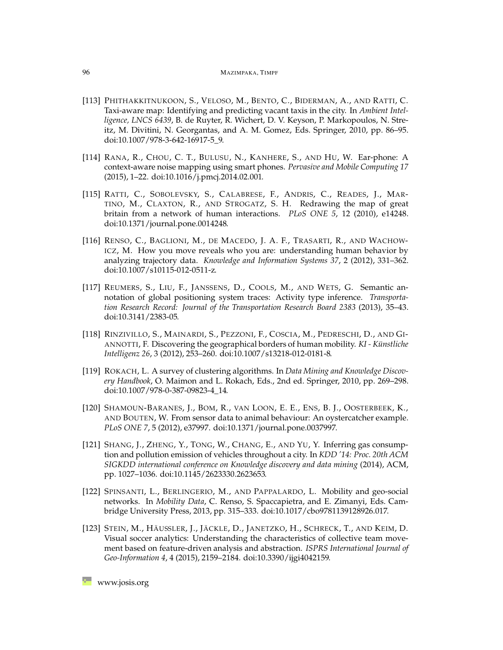#### <span id="page-35-14"></span><span id="page-35-13"></span><span id="page-35-12"></span><span id="page-35-11"></span><span id="page-35-10"></span><span id="page-35-6"></span><span id="page-35-5"></span><span id="page-35-4"></span>96 MAZIMPAKA, TIMPF

- <span id="page-35-9"></span>[113] PHITHAKKITNUKOON, S., VELOSO, M., BENTO, C., BIDERMAN, A., AND RATTI, C. Taxi-aware map: Identifying and predicting vacant taxis in the city. In *Ambient Intelligence, LNCS 6439*, B. de Ruyter, R. Wichert, D. V. Keyson, P. Markopoulos, N. Streitz, M. Divitini, N. Georgantas, and A. M. Gomez, Eds. Springer, 2010, pp. 86–95. [doi:10.1007/978-3-642-16917-5\\_9.](http://dx.doi.org/10.1007/978-3-642-16917-5_9)
- <span id="page-35-16"></span>[114] RANA, R., CHOU, C. T., BULUSU, N., KANHERE, S., AND HU, W. Ear-phone: A context-aware noise mapping using smart phones. *Pervasive and Mobile Computing 17* (2015), 1–22. [doi:10.1016/j.pmcj.2014.02.001.](http://dx.doi.org/10.1016/j.pmcj.2014.02.001)
- <span id="page-35-15"></span>[115] RATTI, C., SOBOLEVSKY, S., CALABRESE, F., ANDRIS, C., READES, J., MAR-TINO, M., CLAXTON, R., AND STROGATZ, S. H. Redrawing the map of great britain from a network of human interactions. *PLoS ONE 5*, 12 (2010), e14248. [doi:10.1371/journal.pone.0014248.](http://dx.doi.org/10.1371/journal.pone.0014248)
- <span id="page-35-8"></span>[116] RENSO, C., BAGLIONI, M., DE MACEDO, J. A. F., TRASARTI, R., AND WACHOW-ICZ, M. How you move reveals who you are: understanding human behavior by analyzing trajectory data. *Knowledge and Information Systems 37*, 2 (2012), 331–362. [doi:10.1007/s10115-012-0511-z.](http://dx.doi.org/10.1007/s10115-012-0511-z)
- <span id="page-35-2"></span>[117] REUMERS, S., LIU, F., JANSSENS, D., COOLS, M., AND WETS, G. Semantic annotation of global positioning system traces: Activity type inference. *Transportation Research Record: Journal of the Transportation Research Board 2383* (2013), 35–43. [doi:10.3141/2383-05.](http://dx.doi.org/10.3141/2383-05)
- <span id="page-35-7"></span>[118] RINZIVILLO, S., MAINARDI, S., PEZZONI, F., COSCIA, M., PEDRESCHI, D., AND GI-ANNOTTI, F. Discovering the geographical borders of human mobility. *KI - Künstliche Intelligenz 26*, 3 (2012), 253–260. [doi:10.1007/s13218-012-0181-8.](http://dx.doi.org/10.1007/s13218-012-0181-8)
- <span id="page-35-1"></span>[119] ROKACH, L. A survey of clustering algorithms. In *Data Mining and Knowledge Discovery Handbook*, O. Maimon and L. Rokach, Eds., 2nd ed. Springer, 2010, pp. 269–298. [doi:10.1007/978-0-387-09823-4\\_14.](http://dx.doi.org/10.1007/978-0-387-09823-4_14)
- <span id="page-35-3"></span>[120] SHAMOUN-BARANES, J., BOM, R., VAN LOON, E. E., ENS, B. J., OOSTERBEEK, K., AND BOUTEN, W. From sensor data to animal behaviour: An oystercatcher example. *PLoS ONE 7*, 5 (2012), e37997. [doi:10.1371/journal.pone.0037997.](http://dx.doi.org/10.1371/journal.pone.0037997)
- <span id="page-35-17"></span>[121] SHANG, J., ZHENG, Y., TONG, W., CHANG, E., AND YU, Y. Inferring gas consumption and pollution emission of vehicles throughout a city. In *KDD '14: Proc. 20th ACM SIGKDD international conference on Knowledge discovery and data mining* (2014), ACM, pp. 1027–1036. [doi:10.1145/2623330.2623653.](http://dx.doi.org/10.1145/2623330.2623653)
- <span id="page-35-0"></span>[122] SPINSANTI, L., BERLINGERIO, M., AND PAPPALARDO, L. Mobility and geo-social networks. In *Mobility Data*, C. Renso, S. Spaccapietra, and E. Zimanyi, Eds. Cambridge University Press, 2013, pp. 315–333. [doi:10.1017/cbo9781139128926.017.](http://dx.doi.org/10.1017/cbo9781139128926.017)
- <span id="page-35-18"></span>[123] STEIN, M., HÄUSSLER, J., JÄCKLE, D., JANETZKO, H., SCHRECK, T., AND KEIM, D. Visual soccer analytics: Understanding the characteristics of collective team movement based on feature-driven analysis and abstraction. *ISPRS International Journal of Geo-Information 4*, 4 (2015), 2159–2184. [doi:10.3390/ijgi4042159.](http://dx.doi.org/10.3390/ijgi4042159)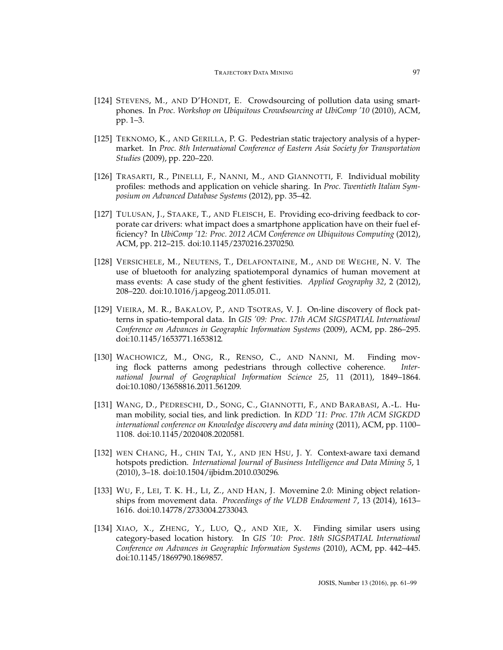- <span id="page-36-12"></span><span id="page-36-11"></span><span id="page-36-10"></span><span id="page-36-9"></span><span id="page-36-8"></span><span id="page-36-3"></span><span id="page-36-2"></span>[124] STEVENS, M., AND D'HONDT, E. Crowdsourcing of pollution data using smartphones. In *Proc. Workshop on Ubiquitous Crowdsourcing at UbiComp '10* (2010), ACM, pp. 1–3.
- <span id="page-36-14"></span>[125] TEKNOMO, K., AND GERILLA, P. G. Pedestrian static trajectory analysis of a hypermarket. In *Proc. 8th International Conference of Eastern Asia Society for Transportation Studies* (2009), pp. 220–220.
- <span id="page-36-7"></span>[126] TRASARTI, R., PINELLI, F., NANNI, M., AND GIANNOTTI, F. Individual mobility profiles: methods and application on vehicle sharing. In *Proc. Twentieth Italian Symposium on Advanced Database Systems* (2012), pp. 35–42.
- <span id="page-36-13"></span>[127] TULUSAN, J., STAAKE, T., AND FLEISCH, E. Providing eco-driving feedback to corporate car drivers: what impact does a smartphone application have on their fuel efficiency? In *UbiComp '12: Proc. 2012 ACM Conference on Ubiquitous Computing* (2012), ACM, pp. 212–215. [doi:10.1145/2370216.2370250.](http://dx.doi.org/10.1145/2370216.2370250)
- <span id="page-36-15"></span>[128] VERSICHELE, M., NEUTENS, T., DELAFONTAINE, M., AND DE WEGHE, N. V. The use of bluetooth for analyzing spatiotemporal dynamics of human movement at mass events: A case study of the ghent festivities. *Applied Geography 32*, 2 (2012), 208–220. [doi:10.1016/j.apgeog.2011.05.011.](http://dx.doi.org/10.1016/j.apgeog.2011.05.011)
- <span id="page-36-1"></span>[129] VIEIRA, M. R., BAKALOV, P., AND TSOTRAS, V. J. On-line discovery of flock patterns in spatio-temporal data. In *GIS '09: Proc. 17th ACM SIGSPATIAL International Conference on Advances in Geographic Information Systems* (2009), ACM, pp. 286–295. [doi:10.1145/1653771.1653812.](http://dx.doi.org/10.1145/1653771.1653812)
- <span id="page-36-0"></span>[130] WACHOWICZ, M., ONG, R., RENSO, C., AND NANNI, M. Finding moving flock patterns among pedestrians through collective coherence. *International Journal of Geographical Information Science 25*, 11 (2011), 1849–1864. [doi:10.1080/13658816.2011.561209.](http://dx.doi.org/10.1080/13658816.2011.561209)
- <span id="page-36-4"></span>[131] WANG, D., PEDRESCHI, D., SONG, C., GIANNOTTI, F., AND BARABASI, A.-L. Human mobility, social ties, and link prediction. In *KDD '11: Proc. 17th ACM SIGKDD international conference on Knowledge discovery and data mining* (2011), ACM, pp. 1100– 1108. [doi:10.1145/2020408.2020581.](http://dx.doi.org/10.1145/2020408.2020581)
- <span id="page-36-5"></span>[132] WEN CHANG, H., CHIN TAI, Y., AND JEN HSU, J. Y. Context-aware taxi demand hotspots prediction. *International Journal of Business Intelligence and Data Mining 5*, 1 (2010), 3–18. [doi:10.1504/ijbidm.2010.030296.](http://dx.doi.org/10.1504/ijbidm.2010.030296)
- <span id="page-36-16"></span>[133] WU, F., LEI, T. K. H., LI, Z., AND HAN, J. Movemine 2.0: Mining object relationships from movement data. *Proceedings of the VLDB Endowment 7*, 13 (2014), 1613– 1616. [doi:10.14778/2733004.2733043.](http://dx.doi.org/10.14778/2733004.2733043)
- <span id="page-36-6"></span>[134] XIAO, X., ZHENG, Y., LUO, Q., AND XIE, X. Finding similar users using category-based location history. In *GIS '10: Proc. 18th SIGSPATIAL International Conference on Advances in Geographic Information Systems* (2010), ACM, pp. 442–445. [doi:10.1145/1869790.1869857.](http://dx.doi.org/10.1145/1869790.1869857)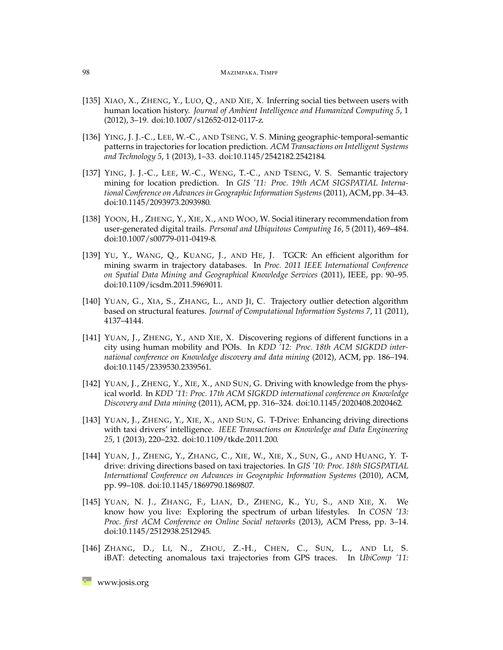- <span id="page-37-15"></span><span id="page-37-14"></span><span id="page-37-13"></span><span id="page-37-12"></span><span id="page-37-11"></span><span id="page-37-10"></span><span id="page-37-6"></span><span id="page-37-5"></span>[135] XIAO, X., ZHENG, Y., LUO, Q., AND XIE, X. Inferring social ties between users with human location history. *Journal of Ambient Intelligence and Humanized Computing 5*, 1 (2012), 3–19. [doi:10.1007/s12652-012-0117-z.](http://dx.doi.org/10.1007/s12652-012-0117-z)
- <span id="page-37-4"></span>[136] YING, J. J.-C., LEE, W.-C., AND TSENG, V. S. Mining geographic-temporal-semantic patterns in trajectories for location prediction. *ACM Transactions on Intelligent Systems and Technology 5*, 1 (2013), 1–33. [doi:10.1145/2542182.2542184.](http://dx.doi.org/10.1145/2542182.2542184)
- <span id="page-37-3"></span>[137] YING, J. J.-C., LEE, W.-C., WENG, T.-C., AND TSENG, V. S. Semantic trajectory mining for location prediction. In *GIS '11: Proc. 19th ACM SIGSPATIAL International Conference on Advances in Geographic Information Systems*(2011), ACM, pp. 34–43. [doi:10.1145/2093973.2093980.](http://dx.doi.org/10.1145/2093973.2093980)
- <span id="page-37-16"></span>[138] YOON, H., ZHENG, Y., XIE, X., AND WOO, W. Social itinerary recommendation from user-generated digital trails. *Personal and Ubiquitous Computing 16*, 5 (2011), 469–484. [doi:10.1007/s00779-011-0419-8.](http://dx.doi.org/10.1007/s00779-011-0419-8)
- <span id="page-37-0"></span>[139] YU, Y., WANG, Q., KUANG, J., AND HE, J. TGCR: An efficient algorithm for mining swarm in trajectory databases. In *Proc. 2011 IEEE International Conference on Spatial Data Mining and Geographical Knowledge Services* (2011), IEEE, pp. 90–95. [doi:10.1109/icsdm.2011.5969011.](http://dx.doi.org/10.1109/icsdm.2011.5969011)
- <span id="page-37-2"></span>[140] YUAN, G., XIA, S., ZHANG, L., AND JI, C. Trajectory outlier detection algorithm based on structural features. *Journal of Computational Information Systems 7*, 11 (2011), 4137–4144.
- <span id="page-37-7"></span>[141] YUAN, J., ZHENG, Y., AND XIE, X. Discovering regions of different functions in a city using human mobility and POIs. In *KDD '12: Proc. 18th ACM SIGKDD international conference on Knowledge discovery and data mining* (2012), ACM, pp. 186–194. [doi:10.1145/2339530.2339561.](http://dx.doi.org/10.1145/2339530.2339561)
- <span id="page-37-8"></span>[142] YUAN, J., ZHENG, Y., XIE, X., AND SUN, G. Driving with knowledge from the physical world. In *KDD '11: Proc. 17th ACM SIGKDD international conference on Knowledge Discovery and Data mining* (2011), ACM, pp. 316–324. [doi:10.1145/2020408.2020462.](http://dx.doi.org/10.1145/2020408.2020462)
- [143] YUAN, J., ZHENG, Y., XIE, X., AND SUN, G. T-Drive: Enhancing driving directions with taxi drivers' intelligence. *IEEE Transactions on Knowledge and Data Engineering 25*, 1 (2013), 220–232. [doi:10.1109/tkde.2011.200.](http://dx.doi.org/10.1109/tkde.2011.200)
- <span id="page-37-9"></span>[144] YUAN, J., ZHENG, Y., ZHANG, C., XIE, W., XIE, X., SUN, G., AND HUANG, Y. Tdrive: driving directions based on taxi trajectories. In *GIS '10: Proc. 18th SIGSPATIAL International Conference on Advances in Geographic Information Systems* (2010), ACM, pp. 99–108. [doi:10.1145/1869790.1869807.](http://dx.doi.org/10.1145/1869790.1869807)
- <span id="page-37-17"></span>[145] YUAN, N. J., ZHANG, F., LIAN, D., ZHENG, K., YU, S., AND XIE, X. We know how you live: Exploring the spectrum of urban lifestyles. In *COSN '13: Proc. first ACM Conference on Online Social networks* (2013), ACM Press, pp. 3–14. [doi:10.1145/2512938.2512945.](http://dx.doi.org/10.1145/2512938.2512945)
- <span id="page-37-1"></span>[146] ZHANG, D., LI, N., ZHOU, Z.-H., CHEN, C., SUN, L., AND LI, S. iBAT: detecting anomalous taxi trajectories from GPS traces. In *UbiComp '11:*